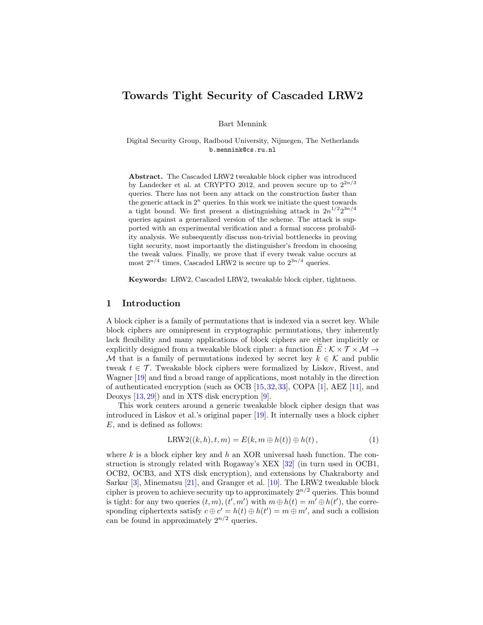# Towards Tight Security of Cascaded LRW2

Bart Mennink

Digital Security Group, Radboud University, Nijmegen, The Netherlands b.mennink@cs.ru.nl

Abstract. The Cascaded LRW2 tweakable block cipher was introduced by Landecker et al. at CRYPTO 2012, and proven secure up to  $2^{2n/3}$ queries. There has not been any attack on the construction faster than the generic attack in  $2^n$  queries. In this work we initiate the quest towards a tight bound. We first present a distinguishing attack in  $2n^{1/2}2^{3n/4}$ queries against a generalized version of the scheme. The attack is supported with an experimental verification and a formal success probability analysis. We subsequently discuss non-trivial bottlenecks in proving tight security, most importantly the distinguisher's freedom in choosing the tweak values. Finally, we prove that if every tweak value occurs at most  $2^{n/4}$  times, Cascaded LRW2 is secure up to  $2^{3n/4}$  queries.

Keywords: LRW2, Cascaded LRW2, tweakable block cipher, tightness.

# 1 Introduction

A block cipher is a family of permutations that is indexed via a secret key. While block ciphers are omnipresent in cryptographic permutations, they inherently lack flexibility and many applications of block ciphers are either implicitly or explicitly designed from a tweakable block cipher: a function  $E : \mathcal{K} \times \mathcal{T} \times \mathcal{M} \rightarrow$ M that is a family of permutations indexed by secret key  $k \in \mathcal{K}$  and public tweak  $t \in \mathcal{T}$ . Tweakable block ciphers were formalized by Liskov, Rivest, and Wagner [\[19\]](#page-21-0) and find a broad range of applications, most notably in the direction of authenticated encryption (such as OCB [\[15,](#page-21-1)[32,](#page-22-0)[33\]](#page-22-1), COPA [\[1\]](#page-20-0), AEZ [\[11\]](#page-21-2), and Deoxys [\[13,](#page-21-3) [29\]](#page-22-2)) and in XTS disk encryption [\[9\]](#page-21-4).

This work centers around a generic tweakable block cipher design that was introduced in Liskov et al.'s original paper [\[19\]](#page-21-0). It internally uses a block cipher E, and is defined as follows:

$$
LRW2((k,h),t,m) = E(k,m \oplus h(t)) \oplus h(t), \qquad (1)
$$

where  $k$  is a block cipher key and  $h$  an XOR universal hash function. The construction is strongly related with Rogaway's XEX [\[32\]](#page-22-0) (in turn used in OCB1, OCB2, OCB3, and XTS disk encryption), and extensions by Chakraborty and Sarkar [\[3\]](#page-20-1), Minematsu [\[21\]](#page-21-5), and Granger et al. [\[10\]](#page-21-6). The LRW2 tweakable block cipher is proven to achieve security up to approximately  $2^{n/2}$  queries. This bound is tight: for any two queries  $(t, m)$ ,  $(t', m')$  with  $m \oplus h(t) = m' \oplus h(t')$ , the corresponding ciphertexts satisfy  $c \oplus c' = h(t) \oplus h(t') = m \oplus m'$ , and such a collision can be found in approximately  $2^{n/2}$  queries.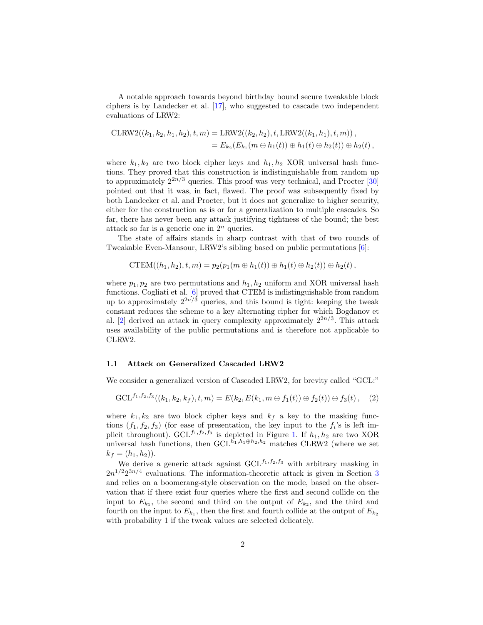A notable approach towards beyond birthday bound secure tweakable block ciphers is by Landecker et al. [\[17\]](#page-21-7), who suggested to cascade two independent evaluations of LRW2:

$$
\text{CLRW2}((k_1, k_2, h_1, h_2), t, m) = \text{LRW2}((k_2, h_2), t, \text{LRW2}((k_1, h_1), t, m)),
$$
  
=  $E_{k_2}(E_{k_1}(m \oplus h_1(t)) \oplus h_1(t) \oplus h_2(t)) \oplus h_2(t)$ ,

where  $k_1, k_2$  are two block cipher keys and  $h_1, h_2$  XOR universal hash functions. They proved that this construction is indistinguishable from random up to approximately  $2^{2n/3}$  queries. This proof was very technical, and Procter [\[30\]](#page-22-3) pointed out that it was, in fact, flawed. The proof was subsequently fixed by both Landecker et al. and Procter, but it does not generalize to higher security, either for the construction as is or for a generalization to multiple cascades. So far, there has never been any attack justifying tightness of the bound; the best attack so far is a generic one in  $2^n$  queries.

The state of affairs stands in sharp contrast with that of two rounds of Tweakable Even-Mansour, LRW2's sibling based on public permutations [\[6\]](#page-20-2):

$$
\text{CTEM}((h_1, h_2), t, m) = p_2(p_1(m \oplus h_1(t)) \oplus h_1(t) \oplus h_2(t)) \oplus h_2(t),
$$

where  $p_1, p_2$  are two permutations and  $h_1, h_2$  uniform and XOR universal hash functions. Cogliati et al. [\[6\]](#page-20-2) proved that CTEM is indistinguishable from random up to approximately  $2^{2n/3}$  queries, and this bound is tight: keeping the tweak constant reduces the scheme to a key alternating cipher for which Bogdanov et al. [\[2\]](#page-20-3) derived an attack in query complexity approximately  $2^{2n/3}$ . This attack uses availability of the public permutations and is therefore not applicable to CLRW2.

### 1.1 Attack on Generalized Cascaded LRW2

We consider a generalized version of Cascaded LRW2, for brevity called "GCL:"

<span id="page-1-0"></span>
$$
\mathrm{GCL}^{f_1, f_2, f_3}((k_1, k_2, k_f), t, m) = E(k_2, E(k_1, m \oplus f_1(t)) \oplus f_2(t)) \oplus f_3(t), \quad (2)
$$

where  $k_1, k_2$  are two block cipher keys and  $k_f$  a key to the masking functions  $(f_1, f_2, f_3)$  (for ease of presentation, the key input to the  $f_i$ 's is left implicit throughout). GCL<sup> $f_1, f_2, \overline{f_3}$ </sup> is depicted in Figure [1.](#page-2-0) If  $h_1, h_2$  are two XOR universal hash functions, then  $GCL^{\overline{h}_1,h_1\oplus h_2,h_2}$  matches CLRW2 (where we set  $k_f = (h_1, h_2)$ .

We derive a generic attack against  $GCL^{f_1, f_2, f_3}$  with arbitrary masking in  $2n^{1/2}2^{3n/4}$  $2n^{1/2}2^{3n/4}$  $2n^{1/2}2^{3n/4}$  evaluations. The information-theoretic attack is given in Section 3 and relies on a boomerang-style observation on the mode, based on the observation that if there exist four queries where the first and second collide on the input to  $E_{k_1}$ , the second and third on the output of  $E_{k_2}$ , and the third and fourth on the input to  $E_{k_1}$ , then the first and fourth collide at the output of  $E_{k_2}$ with probability 1 if the tweak values are selected delicately.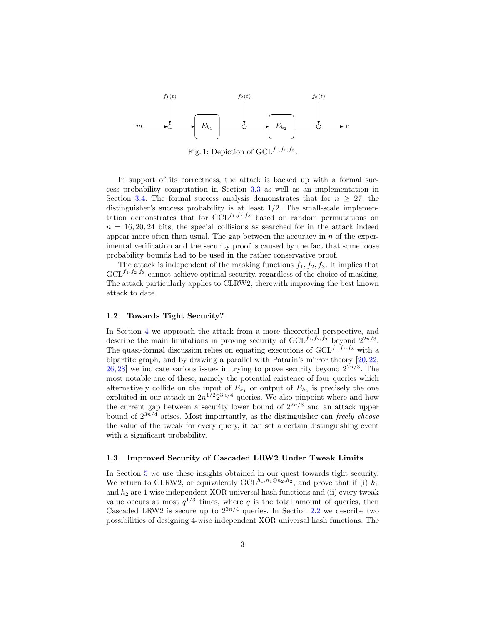<span id="page-2-0"></span>

Fig. 1: Depiction of  $GCL^{f_1, f_2, f_3}$ .

In support of its correctness, the attack is backed up with a formal success probability computation in Section [3.3](#page-7-0) as well as an implementation in Section [3.4.](#page-7-1) The formal success analysis demonstrates that for  $n \geq 27$ , the distinguisher's success probability is at least 1/2. The small-scale implementation demonstrates that for  $GCL^{f_1, f_2, f_3}$  based on random permutations on  $n = 16, 20, 24$  bits, the special collisions as searched for in the attack indeed appear more often than usual. The gap between the accuracy in  $n$  of the experimental verification and the security proof is caused by the fact that some loose probability bounds had to be used in the rather conservative proof.

The attack is independent of the masking functions  $f_1, f_2, f_3$ . It implies that  $GCL^{f_1, f_2, f_3}$  cannot achieve optimal security, regardless of the choice of masking. The attack particularly applies to CLRW2, therewith improving the best known attack to date.

### 1.2 Towards Tight Security?

In Section [4](#page-8-0) we approach the attack from a more theoretical perspective, and describe the main limitations in proving security of  $GCL^{f_1, f_2, f_3}$  beyond  $2^{2n/3}$ . The quasi-formal discussion relies on equating executions of  $GCL^{f_1,f_2,f_3}$  with a bipartite graph, and by drawing a parallel with Patarin's mirror theory [\[20,](#page-21-8) [22,](#page-21-9)  $26, 28$  $26, 28$  we indicate various issues in trying to prove security beyond  $2^{2n/3}$ . The most notable one of these, namely the potential existence of four queries which alternatively collide on the input of  $E_{k_1}$  or output of  $E_{k_2}$  is precisely the one exploited in our attack in  $2n^{1/2}2^{3n/4}$  queries. We also pinpoint where and how the current gap between a security lower bound of  $2^{2n/3}$  and an attack upper bound of  $2^{3n/4}$  arises. Most importantly, as the distinguisher can freely choose the value of the tweak for every query, it can set a certain distinguishing event with a significant probability.

#### 1.3 Improved Security of Cascaded LRW2 Under Tweak Limits

In Section [5](#page-12-0) we use these insights obtained in our quest towards tight security. We return to CLRW2, or equivalently  $GCL^{h_1,h_1\oplus h_2,h_2}$ , and prove that if (i)  $h_1$ and  $h_2$  are 4-wise independent XOR universal hash functions and (ii) every tweak value occurs at most  $q^{1/3}$  times, where q is the total amount of queries, then Cascaded LRW2 is secure up to  $2^{3n/4}$  queries. In Section [2.2](#page-4-0) we describe two possibilities of designing 4-wise independent XOR universal hash functions. The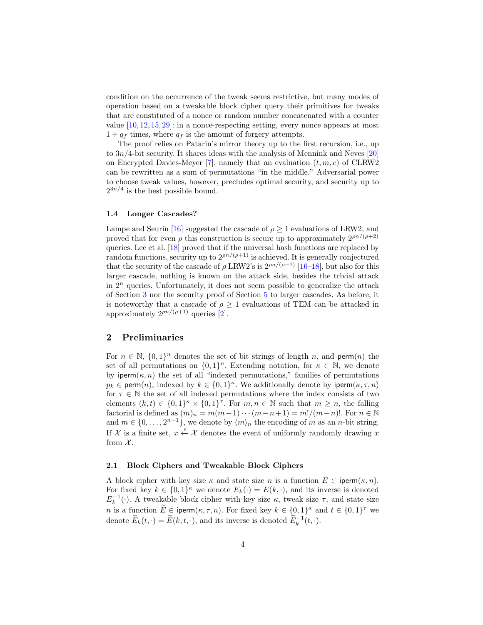condition on the occurrence of the tweak seems restrictive, but many modes of operation based on a tweakable block cipher query their primitives for tweaks that are constituted of a nonce or random number concatenated with a counter value [\[10,](#page-21-6) [12,](#page-21-10) [15,](#page-21-1) [29\]](#page-22-2): in a nonce-respecting setting, every nonce appears at most  $1 + q_f$  times, where  $q_f$  is the amount of forgery attempts.

The proof relies on Patarin's mirror theory up to the first recursion, i.e., up to  $3n/4$ -bit security. It shares ideas with the analysis of Mennink and Neves [\[20\]](#page-21-8) on Encrypted Davies-Meyer [\[7\]](#page-21-11), namely that an evaluation  $(t, m, c)$  of CLRW2 can be rewritten as a sum of permutations "in the middle." Adversarial power to choose tweak values, however, precludes optimal security, and security up to  $2^{3n/4}$  is the best possible bound.

#### 1.4 Longer Cascades?

Lampe and Seurin [\[16\]](#page-21-12) suggested the cascade of  $\rho \geq 1$  evaluations of LRW2, and proved that for even  $\rho$  this construction is secure up to approximately  $2^{\rho n/(\rho+2)}$ queries. Lee et al. [\[18\]](#page-21-13) proved that if the universal hash functions are replaced by random functions, security up to  $2^{pn/(\rho+1)}$  is achieved. It is generally conjectured that the security of the cascade of  $\rho$  LRW2's is  $2^{\rho n/(\rho+1)}$  [\[16](#page-21-12)[–18\]](#page-21-13), but also for this larger cascade, nothing is known on the attack side, besides the trivial attack in  $2<sup>n</sup>$  queries. Unfortunately, it does not seem possible to generalize the attack of Section [3](#page-5-0) nor the security proof of Section [5](#page-12-0) to larger cascades. As before, it is noteworthy that a cascade of  $\rho \geq 1$  evaluations of TEM can be attacked in approximately  $2^{\rho n/(\rho+1)}$  queries [\[2\]](#page-20-3).

# <span id="page-3-0"></span>2 Preliminaries

For  $n \in \mathbb{N}$ ,  $\{0,1\}^n$  denotes the set of bit strings of length n, and perm $(n)$  the set of all permutations on  $\{0,1\}^n$ . Extending notation, for  $\kappa \in \mathbb{N}$ , we denote by iperm( $\kappa$ , n) the set of all "indexed permutations," families of permutations  $p_k \in \text{perm}(n)$ , indexed by  $k \in \{0,1\}^{\kappa}$ . We additionally denote by iperm $(\kappa, \tau, n)$ for  $\tau \in \mathbb{N}$  the set of all indexed permutations where the index consists of two elements  $(k, t) \in \{0, 1\}^{\kappa} \times \{0, 1\}^{\tau}$ . For  $m, n \in \mathbb{N}$  such that  $m \geq n$ , the falling factorial is defined as  $(m)_n = m(m-1)\cdots(m-n+1) = m!/(m-n)!$ . For  $n \in \mathbb{N}$ and  $m \in \{0, \ldots, 2^{n-1}\},$  we denote by  $\langle m \rangle_n$  the encoding of m as an n-bit string. If X is a finite set,  $x \stackrel{\$}{\leftarrow} X$  denotes the event of uniformly randomly drawing x from  $\mathcal{X}$ .

### 2.1 Block Ciphers and Tweakable Block Ciphers

A block cipher with key size  $\kappa$  and state size n is a function  $E \in \text{iperm}(\kappa, n)$ . For fixed key  $k \in \{0,1\}^{\kappa}$  we denote  $E_k(\cdot) = E(k, \cdot)$ , and its inverse is denoted  $E_k^{-1}(\cdot)$ . A tweakable block cipher with key size  $\kappa$ , tweak size  $\tau$ , and state size *n* is a function  $\widetilde{E} \in \text{perm}(\kappa, \tau, n)$ . For fixed key  $k \in \{0, 1\}^{\kappa}$  and  $t \in \{0, 1\}^{\tau}$  we denote  $\widetilde{E}_k(t, \cdot) = \widetilde{E}(k, t, \cdot)$ , and its inverse is denoted  $\widetilde{E}_k^{-1}(t, \cdot)$ .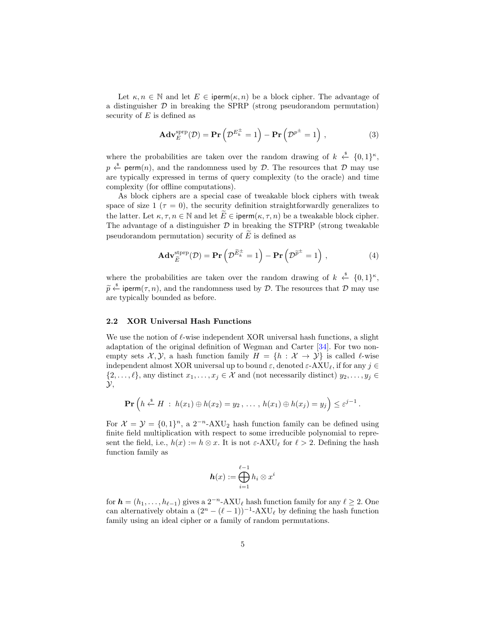Let  $\kappa, n \in \mathbb{N}$  and let  $E \in \text{iperm}(\kappa, n)$  be a block cipher. The advantage of a distinguisher  $D$  in breaking the SPRP (strong pseudorandom permutation) security of  $E$  is defined as

$$
\mathbf{Adv}_{E}^{\text{sprp}}(\mathcal{D}) = \mathbf{Pr}\left(\mathcal{D}^{E_{k}^{\pm}} = 1\right) - \mathbf{Pr}\left(\mathcal{D}^{p^{\pm}} = 1\right),\tag{3}
$$

where the probabilities are taken over the random drawing of  $k \leftarrow \{0,1\}^{\kappa}$ ,  $p \stackrel{\hspace{0.1em}\mathsf{\scriptscriptstyle\$}}{\leftarrow}$  perm $(n)$ , and the randomness used by  ${\mathcal D}$ . The resources that  ${\mathcal D}$  may use are typically expressed in terms of query complexity (to the oracle) and time complexity (for offline computations).

As block ciphers are a special case of tweakable block ciphers with tweak space of size 1 ( $\tau = 0$ ), the security definition straightforwardly generalizes to the latter. Let  $\kappa, \tau, n \in \mathbb{N}$  and let  $\widetilde{E} \in \mathsf{iperm}(\kappa, \tau, n)$  be a tweakable block cipher. The advantage of a distinguisher  $D$  in breaking the STPRP (strong tweakable pseudorandom permutation) security of  $\widetilde{E}$  is defined as

$$
\mathbf{Adv}_{\widetilde{E}}^{\mathrm{stprp}}(\mathcal{D}) = \mathbf{Pr}\left(\mathcal{D}^{\widetilde{E}_{k}^{\pm}} = 1\right) - \mathbf{Pr}\left(\mathcal{D}^{\widetilde{p}^{\pm}} = 1\right),\tag{4}
$$

where the probabilities are taken over the random drawing of  $k \leftarrow \{0,1\}^{\kappa}$ ,  $\widetilde{p} \stackrel{\ast}{\leftarrow}$  iperm( $\tau$ , n), and the randomness used by  $\mathcal{D}$ . The resources that  $\mathcal{D}$  may use are typically bounded as before.

### <span id="page-4-0"></span>2.2 XOR Universal Hash Functions

We use the notion of  $\ell$ -wise independent XOR universal hash functions, a slight adaptation of the original definition of Wegman and Carter [\[34\]](#page-22-6). For two nonempty sets  $\mathcal{X}, \mathcal{Y},$  a hash function family  $H = \{h : \mathcal{X} \to \mathcal{Y}\}\$ is called  $\ell$ -wise independent almost XOR universal up to bound  $\varepsilon$ , denoted  $\varepsilon$ -AXU<sub> $\ell$ </sub>, if for any  $j \in$  $\{2, \ldots, \ell\}$ , any distinct  $x_1, \ldots, x_j \in \mathcal{X}$  and (not necessarily distinct)  $y_2, \ldots, y_j \in \mathcal{Y}$  $\mathcal{Y},$ 

$$
\mathbf{Pr}\left(h \stackrel{\hspace{0.1em}\mathsf{\scriptscriptstyle\$}}{\leftarrow} H \; : \; h(x_1) \oplus h(x_2) = y_2 \, , \, \dots \, , \, h(x_1) \oplus h(x_j) = y_j\right) \leq \varepsilon^{j-1} \, .
$$

For  $\mathcal{X} = \mathcal{Y} = \{0, 1\}^n$ , a 2<sup>-n</sup>-AXU<sub>2</sub> hash function family can be defined using finite field multiplication with respect to some irreducible polynomial to represent the field, i.e.,  $h(x) := h \otimes x$ . It is not  $\varepsilon$ -AXU<sub> $\ell$ </sub> for  $\ell > 2$ . Defining the hash function family as

$$
\boldsymbol{h}(x):=\bigoplus_{i=1}^{\ell-1}h_i\otimes x^i
$$

for  $h = (h_1, \ldots, h_{\ell-1})$  gives a  $2^{-n}$ -AXU<sub> $\ell$ </sub> hash function family for any  $\ell \ge 2$ . One can alternatively obtain a  $(2^n - (\ell - 1))^{-1}$ -AXU<sub> $\ell$ </sub> by defining the hash function family using an ideal cipher or a family of random permutations.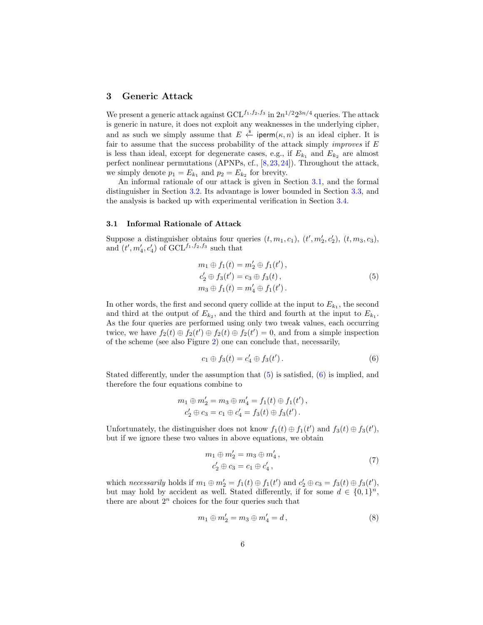# <span id="page-5-0"></span>3 Generic Attack

We present a generic attack against  $\mathrm{GCL}^{f_1, f_2, f_3}$  in  $2n^{1/2}2^{3n/4}$  queries. The attack is generic in nature, it does not exploit any weaknesses in the underlying cipher, and as such we simply assume that  $E \stackrel{\hspace{0.1em}\mathsf{\scriptscriptstyle\$}}{\leftarrow}$  iperm $(\kappa,n)$  is an ideal cipher. It is fair to assume that the success probability of the attack simply *improves* if  $E$ is less than ideal, except for degenerate cases, e.g., if  $E_{k_1}$  and  $E_{k_2}$  are almost perfect nonlinear permutations (APNPs, cf., [\[8,](#page-21-14)[23,](#page-21-15)[24\]](#page-21-16)). Throughout the attack, we simply denote  $p_1 = E_{k_1}$  and  $p_2 = E_{k_2}$  for brevity.

An informal rationale of our attack is given in Section [3.1,](#page-5-1) and the formal distinguisher in Section [3.2.](#page-6-0) Its advantage is lower bounded in Section [3.3,](#page-7-0) and the analysis is backed up with experimental verification in Section [3.4.](#page-7-1)

## <span id="page-5-1"></span>3.1 Informal Rationale of Attack

Suppose a distinguisher obtains four queries  $(t, m_1, c_1)$ ,  $(t', m'_2, c'_2)$ ,  $(t, m_3, c_3)$ , and  $(t', m'_4, c'_4)$  of  $GCL^{f_1, f_2, f_3}$  such that

<span id="page-5-2"></span>
$$
m_1 \oplus f_1(t) = m'_2 \oplus f_1(t'),
$$
  
\n
$$
c'_2 \oplus f_3(t') = c_3 \oplus f_3(t),
$$
  
\n
$$
m_3 \oplus f_1(t) = m'_4 \oplus f_1(t').
$$
\n(5)

In other words, the first and second query collide at the input to  $E_{k_1}$ , the second and third at the output of  $E_{k_2}$ , and the third and fourth at the input to  $E_{k_1}$ . As the four queries are performed using only two tweak values, each occurring twice, we have  $f_2(t) \oplus f_2(t') \oplus f_2(t) \oplus f_2(t') = 0$ , and from a simple inspection of the scheme (see also Figure [2\)](#page-6-1) one can conclude that, necessarily,

<span id="page-5-3"></span>
$$
c_1 \oplus f_3(t) = c'_4 \oplus f_3(t'). \tag{6}
$$

Stated differently, under the assumption that  $(5)$  is satisfied,  $(6)$  is implied, and therefore the four equations combine to

$$
m_1 \oplus m'_2 = m_3 \oplus m'_4 = f_1(t) \oplus f_1(t'),
$$
  

$$
c'_2 \oplus c_3 = c_1 \oplus c'_4 = f_3(t) \oplus f_3(t').
$$

Unfortunately, the distinguisher does not know  $f_1(t) \oplus f_1(t')$  and  $f_3(t) \oplus f_3(t')$ , but if we ignore these two values in above equations, we obtain

<span id="page-5-4"></span>
$$
m_1 \oplus m'_2 = m_3 \oplus m'_4, \n c'_2 \oplus c_3 = c_1 \oplus c'_4,
$$
\n(7)

which necessarily holds if  $m_1 \oplus m_2' = f_1(t) \oplus f_1(t')$  and  $c_2' \oplus c_3 = f_3(t) \oplus f_3(t')$ , but may hold by accident as well. Stated differently, if for some  $d \in \{0,1\}^n$ , there are about  $2^n$  choices for the four queries such that

<span id="page-5-5"></span>
$$
m_1 \oplus m_2' = m_3 \oplus m_4' = d, \qquad (8)
$$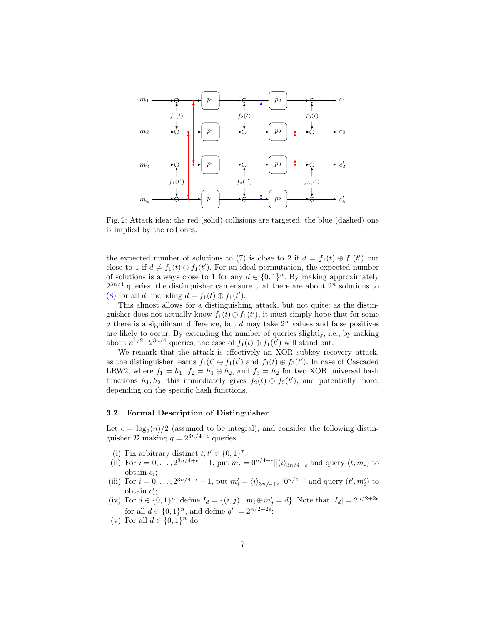<span id="page-6-1"></span>

Fig. 2: Attack idea: the red (solid) collisions are targeted, the blue (dashed) one is implied by the red ones.

the expected number of solutions to [\(7\)](#page-5-4) is close to 2 if  $d = f_1(t) \oplus f_1(t')$  but close to 1 if  $d \neq f_1(t) \oplus f_1(t')$ . For an ideal permutation, the expected number of solutions is always close to 1 for any  $d \in \{0,1\}^n$ . By making approximately  $2^{3n/4}$  queries, the distinguisher can ensure that there are about  $2^n$  solutions to [\(8\)](#page-5-5) for all d, including  $d = f_1(t) \oplus f_1(t')$ .

This almost allows for a distinguishing attack, but not quite: as the distinguisher does not actually know  $f_1(t) \oplus f_1(t')$ , it must simply hope that for some d there is a significant difference, but d may take  $2<sup>n</sup>$  values and false positives are likely to occur. By extending the number of queries slightly, i.e., by making about  $n^{1/2} \cdot 2^{3n/4}$  queries, the case of  $f_1(t) \oplus f_1(t')$  will stand out.

We remark that the attack is effectively an XOR subkey recovery attack, as the distinguisher learns  $f_1(t) \oplus f_1(t')$  and  $f_3(t) \oplus f_3(t')$ . In case of Cascaded LRW2, where  $f_1 = h_1$ ,  $f_2 = h_1 \oplus h_2$ , and  $f_3 = h_2$  for two XOR universal hash functions  $h_1, h_2$ , this immediately gives  $f_2(t) \oplus f_2(t')$ , and potentially more, depending on the specific hash functions.

## <span id="page-6-0"></span>3.2 Formal Description of Distinguisher

Let  $\epsilon = \log_2(n)/2$  (assumed to be integral), and consider the following distinguisher  $\mathcal{D}$  making  $q = 2^{3n/4 + \epsilon}$  queries.

- (i) Fix arbitrary distinct  $t, t' \in \{0, 1\}^{\tau}$ ;
- (ii) For  $i = 0, \ldots, 2^{3n/4+\epsilon} 1$ , put  $m_i = 0^{n/4-\epsilon} ||\langle i \rangle_{3n/4+\epsilon}$  and query  $(t, m_i)$  to  $\text{obtain } c_i;$
- (iii) For  $i = 0, \ldots, 2^{3n/4+\epsilon} 1$ , put  $m'_i = \langle i \rangle_{3n/4+\epsilon} ||0^{n/4-\epsilon}$  and query  $(t', m'_i)$  to obtain  $c_i$ ;
- (iv) For  $d \in \{0,1\}^n$ , define  $I_d = \{(i,j) \mid m_i \oplus m'_j = d\}$ . Note that  $|I_d| = 2^{n/2+2\epsilon}$ for all  $d \in \{0,1\}^n$ , and define  $q' := 2^{n/2+2\epsilon}$ ;
- (v) For all  $d \in \{0,1\}^n$  do: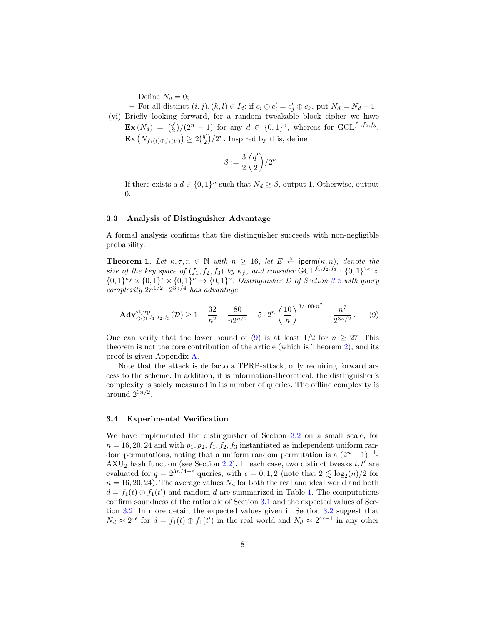– Define  $N_d = 0;$ 

- For all distinct  $(i, j), (k, l) \in I_d$ : if  $c_i \oplus c'_l = c'_j \oplus c_k$ , put  $N_d = N_d + 1$ ; (vi) Briefly looking forward, for a random tweakable block cipher we have  $\mathbf{Ex}\left(N_d\right) = \begin{pmatrix} q' \\ 2 \end{pmatrix}$  $\binom{q'}{2}/(2^n-1)$  for any  $d \in \{0,1\}^n$ , whereas for GCL<sup>f<sub>1</sub>,f<sub>2</sub>,f<sub>3</sub></sup>,  $\mathbf{Ex}\left(N_{f_1(t)\oplus f_1(t')}\right)\geq 2\binom{q'}{2}$  $\binom{q'}{2}/2^n$ . Inspired by this, define

<span id="page-7-2"></span>
$$
\beta:=\frac{3}{2}\binom{q'}{2}/2^n\,.
$$

If there exists a  $d \in \{0,1\}^n$  such that  $N_d \geq \beta$ , output 1. Otherwise, output 0.

## <span id="page-7-0"></span>3.3 Analysis of Distinguisher Advantage

<span id="page-7-3"></span>A formal analysis confirms that the distinguisher succeeds with non-negligible probability.

**Theorem 1.** Let  $\kappa, \tau, n \in \mathbb{N}$  with  $n \geq 16$ , let  $E \stackrel{\hspace{0.1em}\mathsf{\scriptscriptstyle\$}}{\leftarrow}$  iperm $(\kappa, n)$ , denote the size of the key space of  $(f_1, f_2, f_3)$  by  $\kappa_f$ , and consider  $\mathrm{GCL}^{f_1, f_2, f_3} : \{0, 1\}^{2\kappa} \times$  $\{0,1\}^{\kappa_f} \times \{0,1\}^{\tau} \times \{0,1\}^n \to \{0,1\}^n$ . Distinguisher D of Section [3.2](#page-6-0) with query complexity  $2n^{1/2} \cdot 2^{3n/4}$  has advantage

$$
\mathbf{Adv}_{\mathrm{GCL}^{f_1, f_2, f_3}}^{\mathrm{stprp}}(\mathcal{D}) \ge 1 - \frac{32}{n^2} - \frac{80}{n2^{n/2}} - 5 \cdot 2^n \left(\frac{10}{n}\right)^{3/100 \cdot n^2} - \frac{n^7}{2^{3n/2}}.
$$
 (9)

One can verify that the lower bound of [\(9\)](#page-7-2) is at least  $1/2$  for  $n \geq 27$ . This theorem is not the core contribution of the article (which is Theorem [2\)](#page-12-1), and its proof is given Appendix [A.](#page-22-7)

Note that the attack is de facto a TPRP-attack, only requiring forward access to the scheme. In addition, it is information-theoretical: the distinguisher's complexity is solely measured in its number of queries. The offline complexity is around  $2^{3n/2}$ .

## <span id="page-7-1"></span>3.4 Experimental Verification

We have implemented the distinguisher of Section [3.2](#page-6-0) on a small scale, for  $n = 16, 20, 24$  and with  $p_1, p_2, f_1, f_2, f_3$  instantiated as independent uniform random permutations, noting that a uniform random permutation is a  $(2<sup>n</sup> - 1)<sup>-1</sup>$ - $AXU_2$  hash function (see Section [2.2\)](#page-4-0). In each case, two distinct tweaks t, t' are evaluated for  $q = 2^{3n/4+\epsilon}$  queries, with  $\epsilon = 0, 1, 2$  (note that  $2 \lesssim \log_2(n)/2$  for  $n = 16, 20, 24$ . The average values  $N_d$  for both the real and ideal world and both  $d = f_1(t) \oplus f_1(t')$  and random d are summarized in Table [1.](#page-8-1) The computations confirm soundness of the rationale of Section [3.1](#page-5-1) and the expected values of Section [3.2.](#page-6-0) In more detail, the expected values given in Section [3.2](#page-6-0) suggest that  $N_d \approx 2^{4\epsilon}$  for  $d = f_1(t) \oplus f_1(t')$  in the real world and  $N_d \approx 2^{4\epsilon-1}$  in any other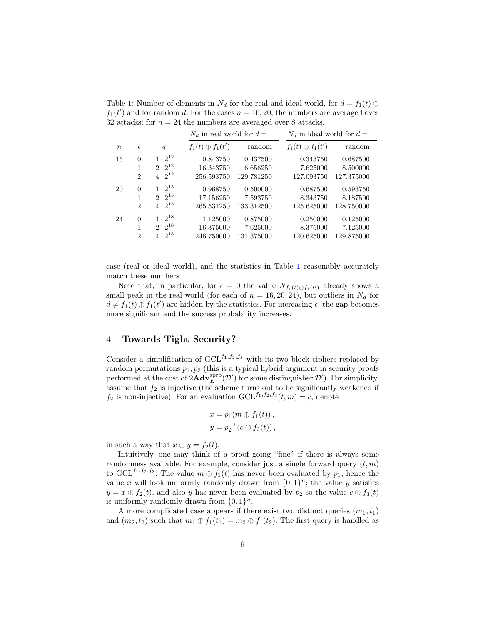|                  |                             |                  | $N_d$ in real world for $d=$ |            | $N_d$ in ideal world for $d=$ |            |
|------------------|-----------------------------|------------------|------------------------------|------------|-------------------------------|------------|
| $\boldsymbol{n}$ | $\epsilon$                  | q                | $f_1(t)\oplus f_1(t')$       | random     | $f_1(t)\oplus f_1(t')$        | random     |
| 16               | $\Omega$                    | $1 \cdot 2^{12}$ | 0.843750                     | 0.437500   | 0.343750                      | 0.687500   |
|                  | 1                           | $2 \cdot 2^{12}$ | 16.343750                    | 6.656250   | 7.625000                      | 8.500000   |
|                  | $\overline{2}$              | $4 \cdot 2^{12}$ | 256.593750                   | 129.781250 | 127.093750                    | 127.375000 |
| 20               | $\Omega$                    | $1 \cdot 2^{15}$ | 0.968750                     | 0.500000   | 0.687500                      | 0.593750   |
|                  | 1                           | $2 \cdot 2^{15}$ | 17.156250                    | 7.593750   | 8.343750                      | 8.187500   |
|                  | $\mathcal{D}_{\mathcal{L}}$ | $4 \cdot 2^{15}$ | 265.531250                   | 133.312500 | 125.625000                    | 128.750000 |
| 24               | $\Omega$                    | $1 \cdot 2^{18}$ | 1.125000                     | 0.875000   | 0.250000                      | 0.125000   |
|                  | 1                           | $2 \cdot 2^{18}$ | 16.375000                    | 7.625000   | 8.375000                      | 7.125000   |
|                  | $\overline{2}$              | $4 \cdot 2^{18}$ | 246.750000                   | 131.375000 | 120.625000                    | 129.875000 |

<span id="page-8-1"></span>Table 1: Number of elements in  $N_d$  for the real and ideal world, for  $d = f_1(t) \oplus$  $f_1(t')$  and for random d. For the cases  $n = 16, 20$ , the numbers are averaged over 32 attacks; for  $n = 24$  the numbers are averaged over 8 attacks.

case (real or ideal world), and the statistics in Table [1](#page-8-1) reasonably accurately match these numbers.

Note that, in particular, for  $\epsilon = 0$  the value  $N_{f_1(t) \oplus f_1(t')}$  already shows a small peak in the real world (for each of  $n = 16, 20, 24$ ), but outliers in  $N_d$  for  $d \neq f_1(t) \oplus f_1(t')$  are hidden by the statistics. For increasing  $\epsilon$ , the gap becomes more significant and the success probability increases.

# <span id="page-8-0"></span>4 Towards Tight Security?

Consider a simplification of  $GCL^{f_1,f_2,f_3}$  with its two block ciphers replaced by random permutations  $p_1, p_2$  (this is a typical hybrid argument in security proofs performed at the cost of  $2\text{Adv}_{E}^{\text{sprp}}(\mathcal{D}')$  for some distinguisher  $\mathcal{D}'$ ). For simplicity, assume that  $f_2$  is injective (the scheme turns out to be significantly weakened if  $f_2$  is non-injective). For an evaluation  $GCL^{f_1, f_2, f_3}(t, m) = c$ , denote

$$
x = p_1(m \oplus f_1(t)),
$$
  

$$
y = p_2^{-1}(c \oplus f_3(t)),
$$

in such a way that  $x \oplus y = f_2(t)$ .

Intuitively, one may think of a proof going "fine" if there is always some randomness available. For example, consider just a single forward query  $(t, m)$ to GCL<sup>f<sub>1</sub>,f<sub>2</sub>,f<sub>3</sub></sub>. The value  $m \oplus f_1(t)$  has never been evaluated by  $p_1$ , hence the</sup> value x will look uniformly randomly drawn from  $\{0,1\}^n$ ; the value y satisfies  $y = x \oplus f_2(t)$ , and also y has never been evaluated by  $p_2$  so the value  $c \oplus f_3(t)$ is uniformly randomly drawn from  $\{0,1\}^n$ .

A more complicated case appears if there exist two distinct queries  $(m_1, t_1)$ and  $(m_2, t_2)$  such that  $m_1 \oplus f_1(t_1) = m_2 \oplus f_1(t_2)$ . The first query is handled as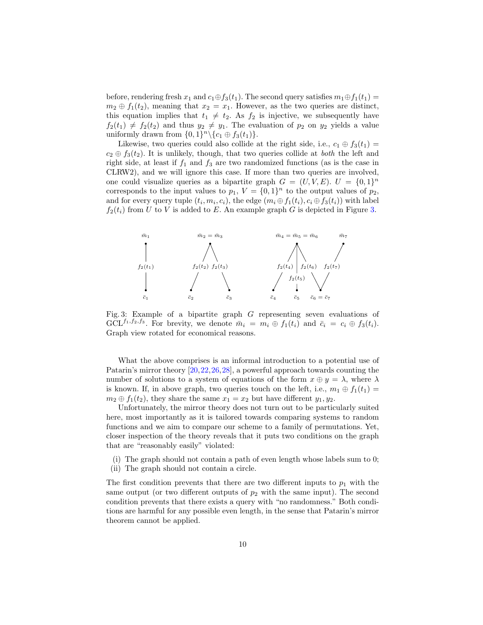before, rendering fresh  $x_1$  and  $c_1 \oplus f_3(t_1)$ . The second query satisfies  $m_1 \oplus f_1(t_1) =$  $m_2 \oplus f_1(t_2)$ , meaning that  $x_2 = x_1$ . However, as the two queries are distinct, this equation implies that  $t_1 \neq t_2$ . As  $f_2$  is injective, we subsequently have  $f_2(t_1) \neq f_2(t_2)$  and thus  $y_2 \neq y_1$ . The evaluation of  $p_2$  on  $y_2$  yields a value uniformly drawn from  $\{0,1\}^n \setminus \{c_1 \oplus f_3(t_1)\}.$ 

Likewise, two queries could also collide at the right side, i.e.,  $c_1 \oplus f_3(t_1) =$  $c_2 \oplus f_3(t_2)$ . It is unlikely, though, that two queries collide at both the left and right side, at least if  $f_1$  and  $f_3$  are two randomized functions (as is the case in CLRW2), and we will ignore this case. If more than two queries are involved, one could visualize queries as a bipartite graph  $G = (U, V, E)$ .  $U = \{0, 1\}^n$ corresponds to the input values to  $p_1$ ,  $V = \{0, 1\}^n$  to the output values of  $p_2$ , and for every query tuple  $(t_i, m_i, c_i)$ , the edge  $(m_i \oplus f_1(t_i), c_i \oplus f_3(t_i))$  with label  $f_2(t_i)$  from U to V is added to E. An example graph G is depicted in Figure [3.](#page-9-0)

<span id="page-9-0"></span>

Fig. 3: Example of a bipartite graph G representing seven evaluations of  $GCL^{f_1,f_2,f_3}$ . For brevity, we denote  $\bar{m}_i = m_i \oplus f_1(t_i)$  and  $\bar{c}_i = c_i \oplus f_3(t_i)$ . Graph view rotated for economical reasons.

What the above comprises is an informal introduction to a potential use of Patarin's mirror theory [\[20,](#page-21-8)[22,](#page-21-9)[26,](#page-22-4)[28\]](#page-22-5), a powerful approach towards counting the number of solutions to a system of equations of the form  $x \oplus y = \lambda$ , where  $\lambda$ is known. If, in above graph, two queries touch on the left, i.e.,  $m_1 \oplus f_1(t_1) =$  $m_2 \oplus f_1(t_2)$ , they share the same  $x_1 = x_2$  but have different  $y_1, y_2$ .

Unfortunately, the mirror theory does not turn out to be particularly suited here, most importantly as it is tailored towards comparing systems to random functions and we aim to compare our scheme to a family of permutations. Yet, closer inspection of the theory reveals that it puts two conditions on the graph that are "reasonably easily" violated:

(i) The graph should not contain a path of even length whose labels sum to 0; (ii) The graph should not contain a circle.

The first condition prevents that there are two different inputs to  $p_1$  with the same output (or two different outputs of  $p_2$  with the same input). The second condition prevents that there exists a query with "no randomness." Both conditions are harmful for any possible even length, in the sense that Patarin's mirror theorem cannot be applied.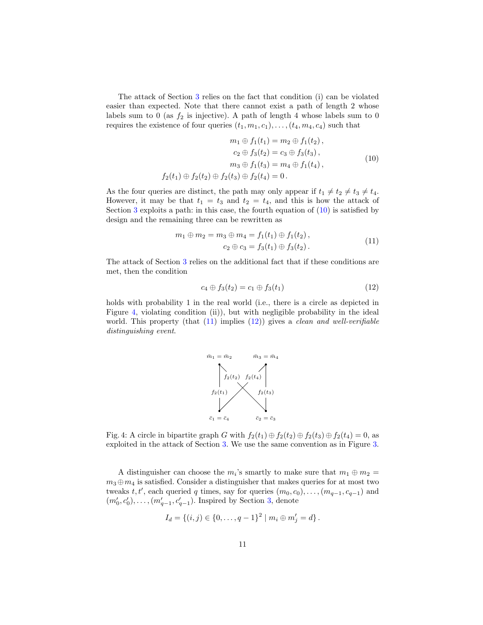The attack of Section [3](#page-5-0) relies on the fact that condition (i) can be violated easier than expected. Note that there cannot exist a path of length 2 whose labels sum to 0 (as  $f_2$  is injective). A path of length 4 whose labels sum to 0 requires the existence of four queries  $(t_1, m_1, c_1), \ldots, (t_4, m_4, c_4)$  such that

<span id="page-10-0"></span>
$$
m_1 \oplus f_1(t_1) = m_2 \oplus f_1(t_2),
$$
  
\n
$$
c_2 \oplus f_3(t_2) = c_3 \oplus f_3(t_3),
$$
  
\n
$$
m_3 \oplus f_1(t_3) = m_4 \oplus f_1(t_4),
$$
  
\n
$$
f_2(t_1) \oplus f_2(t_2) \oplus f_2(t_3) \oplus f_2(t_4) = 0.
$$
\n(10)

As the four queries are distinct, the path may only appear if  $t_1 \neq t_2 \neq t_3 \neq t_4$ . However, it may be that  $t_1 = t_3$  and  $t_2 = t_4$ , and this is how the attack of Section  $3$  exploits a path: in this case, the fourth equation of  $(10)$  is satisfied by design and the remaining three can be rewritten as

$$
m_1 \oplus m_2 = m_3 \oplus m_4 = f_1(t_1) \oplus f_1(t_2),
$$
  
\n
$$
c_2 \oplus c_3 = f_3(t_1) \oplus f_3(t_2).
$$
\n(11)

The attack of Section [3](#page-5-0) relies on the additional fact that if these conditions are met, then the condition

<span id="page-10-3"></span><span id="page-10-2"></span>
$$
c_4 \oplus f_3(t_2) = c_1 \oplus f_3(t_1) \tag{12}
$$

<span id="page-10-1"></span>holds with probability 1 in the real world (i.e., there is a circle as depicted in Figure [4,](#page-10-1) violating condition (ii)), but with negligible probability in the ideal world. This property (that  $(11)$  implies  $(12)$ ) gives a *clean and well-verifiable* distinguishing event.



Fig. 4: A circle in bipartite graph G with  $f_2(t_1) \oplus f_2(t_2) \oplus f_2(t_3) \oplus f_2(t_4) = 0$ , as exploited in the attack of Section [3.](#page-5-0) We use the same convention as in Figure [3.](#page-9-0)

A distinguisher can choose the  $m_i$ 's smartly to make sure that  $m_1 \oplus m_2 =$  $m_3 \oplus m_4$  is satisfied. Consider a distinguisher that makes queries for at most two tweaks  $t, t'$ , each queried q times, say for queries  $(m_0, c_0), \ldots, (m_{q-1}, c_{q-1})$  and  $(m'_0, c'_0), \ldots, (m'_{q-1}, c'_{q-1})$ . Inspired by Section [3,](#page-5-0) denote

$$
I_d = \{(i, j) \in \{0, \ldots, q-1\}^2 \mid m_i \oplus m'_j = d\}.
$$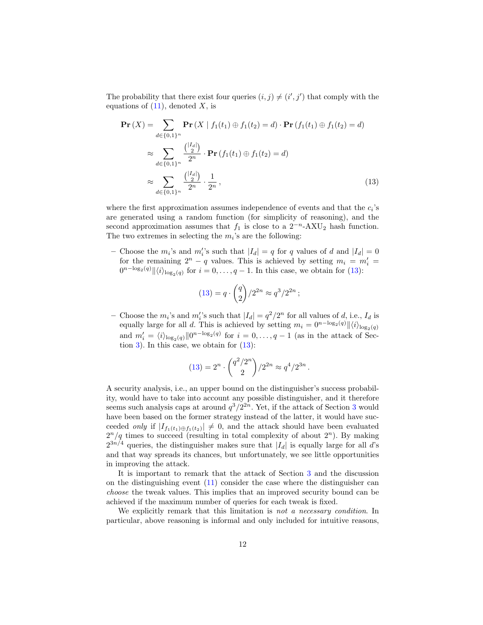The probability that there exist four queries  $(i, j) \neq (i', j')$  that comply with the equations of  $(11)$ , denoted X, is

$$
\mathbf{Pr}\left(X\right) = \sum_{d \in \{0,1\}^n} \mathbf{Pr}\left(X \mid f_1(t_1) \oplus f_1(t_2) = d\right) \cdot \mathbf{Pr}\left(f_1(t_1) \oplus f_1(t_2) = d\right)
$$
\n
$$
\approx \sum_{d \in \{0,1\}^n} \frac{\binom{|I_d|}{2}}{2^n} \cdot \mathbf{Pr}\left(f_1(t_1) \oplus f_1(t_2) = d\right)
$$
\n
$$
\approx \sum_{d \in \{0,1\}^n} \frac{\binom{|I_d|}{2}}{2^n} \cdot \frac{1}{2^n},\tag{13}
$$

where the first approximation assumes independence of events and that the  $c_i$ 's are generated using a random function (for simplicity of reasoning), and the second approximation assumes that  $f_1$  is close to a  $2^{-n}$ -AXU<sub>2</sub> hash function. The two extremes in selecting the  $m_i$ 's are the following:

- Choose the  $m_i$ 's and  $m_i'$ 's such that  $|I_d| = q$  for q values of d and  $|I_d| = 0$ for the remaining  $2^n - q$  values. This is achieved by setting  $m_i = m'_i =$  $0^{n-\log_2(q)} \|\langle i \rangle_{\log_2(q)}$  for  $i = 0, \ldots, q-1$ . In this case, we obtain for [\(13\)](#page-11-0):

<span id="page-11-0"></span>
$$
(13) = q \cdot \binom{q}{2} / 2^{2n} \approx q^3 / 2^{2n} ;
$$

- Choose the  $m_i$ 's and  $m_i'$ 's such that  $|I_d| = q^2/2^n$  for all values of d, i.e.,  $I_d$  is equally large for all d. This is achieved by setting  $m_i = 0^{n-\log_2(q)} \|\langle i \rangle_{\log_2(q)}\|$ and  $m'_i = \langle i \rangle_{\log_2(q)} ||0^{n-\log_2(q)}$  for  $i = 0, \ldots, q-1$  (as in the attack of Sec-tion [3\)](#page-5-0). In this case, we obtain for  $(13)$ :

$$
(13) = 2n \cdot \binom{q^2/2^n}{2} / 2^{2n} \approx q^4 / 2^{3n}.
$$

A security analysis, i.e., an upper bound on the distinguisher's success probability, would have to take into account any possible distinguisher, and it therefore seems such analysis caps at around  $q^3/2^{2n}$  $q^3/2^{2n}$  $q^3/2^{2n}$ . Yet, if the attack of Section 3 would have been based on the former strategy instead of the latter, it would have succeeded *only* if  $|I_{f_1(t_1)\oplus f_1(t_2)}| \neq 0$ , and the attack should have been evaluated  $2^{n}/q$  times to succeed (resulting in total complexity of about  $2^{n}$ ). By making  $2^{3n/4}$  queries, the distinguisher makes sure that  $|I_d|$  is equally large for all d's and that way spreads its chances, but unfortunately, we see little opportunities in improving the attack.

It is important to remark that the attack of Section [3](#page-5-0) and the discussion on the distinguishing event  $(11)$  consider the case where the distinguisher can choose the tweak values. This implies that an improved security bound can be achieved if the maximum number of queries for each tweak is fixed.

We explicitly remark that this limitation is not a necessary condition. In particular, above reasoning is informal and only included for intuitive reasons,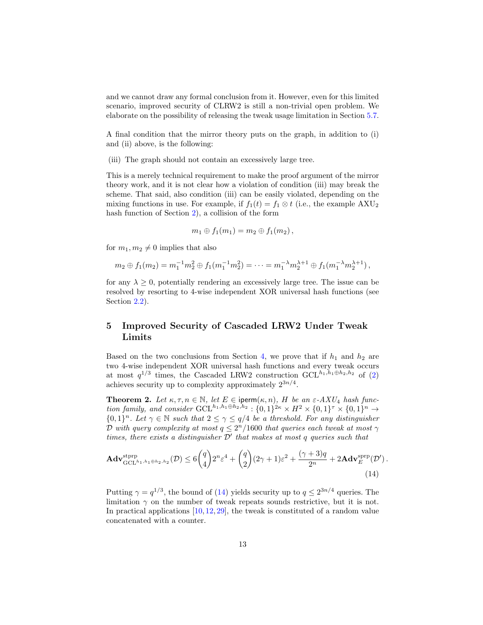and we cannot draw any formal conclusion from it. However, even for this limited scenario, improved security of CLRW2 is still a non-trivial open problem. We elaborate on the possibility of releasing the tweak usage limitation in Section [5.7.](#page-19-0)

A final condition that the mirror theory puts on the graph, in addition to (i) and (ii) above, is the following:

(iii) The graph should not contain an excessively large tree.

This is a merely technical requirement to make the proof argument of the mirror theory work, and it is not clear how a violation of condition (iii) may break the scheme. That said, also condition (iii) can be easily violated, depending on the mixing functions in use. For example, if  $f_1(t) = f_1 \otimes t$  (i.e., the example AXU<sub>2</sub> hash function of Section [2\)](#page-3-0), a collision of the form

<span id="page-12-1"></span>
$$
m_1\oplus f_1(m_1)=m_2\oplus f_1(m_2),
$$

for  $m_1, m_2 \neq 0$  implies that also

$$
m_2 \oplus f_1(m_2) = m_1^{-1} m_2^2 \oplus f_1(m_1^{-1} m_2^2) = \cdots = m_1^{-\lambda} m_2^{\lambda+1} \oplus f_1(m_1^{-\lambda} m_2^{\lambda+1}),
$$

for any  $\lambda \geq 0$ , potentially rendering an excessively large tree. The issue can be resolved by resorting to 4-wise independent XOR universal hash functions (see Section [2.2\)](#page-4-0).

# <span id="page-12-0"></span>5 Improved Security of Cascaded LRW2 Under Tweak Limits

Based on the two conclusions from Section [4,](#page-8-0) we prove that if  $h_1$  and  $h_2$  are two 4-wise independent XOR universal hash functions and every tweak occurs at most  $q^{1/3}$  times, the Cascaded LRW2 construction GCL<sup>h<sub>1</sub>,h<sub>1</sub>⊕h<sub>2</sub>,h<sub>2</sub> of [\(2\)](#page-1-0)</sup> achieves security up to complexity approximately  $2^{3n/4}$ .

**Theorem 2.** Let  $\kappa, \tau, n \in \mathbb{N}$ , let  $E \in \text{iperm}(\kappa, n)$ , H be an  $\varepsilon$ -AXU<sub>4</sub> hash function family, and consider  $GCL^{h_1,h_1\oplus h_2,h_2}: \{0,1\}^{2\kappa} \times H^2 \times \{0,1\}^{\tau} \times \{0,1\}^n \rightarrow$  ${0,1}^n$ . Let  $\gamma \in \mathbb{N}$  such that  $2 \leq \gamma \leq q/4$  be a threshold. For any distinguisher D with query complexity at most  $q \leq 2^n/1600$  that queries each tweak at most  $\gamma$ times, there exists a distinguisher  $\mathcal{D}'$  that makes at most q queries such that

<span id="page-12-2"></span>
$$
\mathbf{Adv}_{\mathrm{GCL}^{h_1,h_1\oplus h_2,h_2}}^{\mathrm{stpp}}(\mathcal{D}) \le 6\binom{q}{4}2^n\varepsilon^4 + \binom{q}{2}(2\gamma+1)\varepsilon^2 + \frac{(\gamma+3)q}{2^n} + 2\mathbf{Adv}_{E}^{\mathrm{sprp}}(\mathcal{D}').
$$
\n(14)

Putting  $\gamma = q^{1/3}$ , the bound of [\(14\)](#page-12-2) yields security up to  $q \leq 2^{3n/4}$  queries. The limitation  $\gamma$  on the number of tweak repeats sounds restrictive, but it is not. In practical applications [\[10,](#page-21-6) [12,](#page-21-10) [29\]](#page-22-2), the tweak is constituted of a random value concatenated with a counter.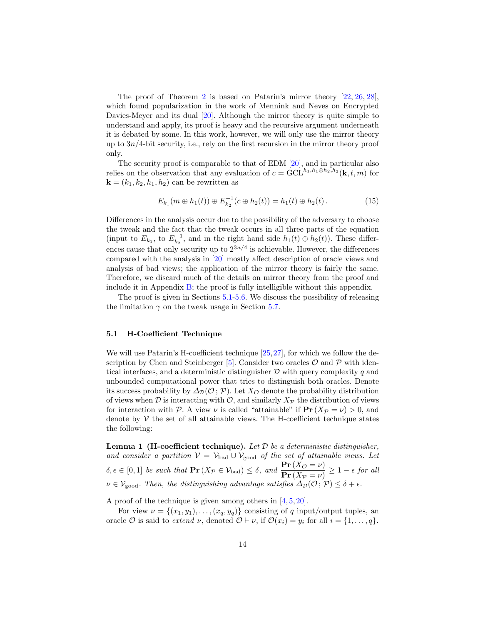The proof of Theorem [2](#page-12-1) is based on Patarin's mirror theory [\[22,](#page-21-9) [26,](#page-22-4) [28\]](#page-22-5), which found popularization in the work of Mennink and Neves on Encrypted Davies-Meyer and its dual [\[20\]](#page-21-8). Although the mirror theory is quite simple to understand and apply, its proof is heavy and the recursive argument underneath it is debated by some. In this work, however, we will only use the mirror theory up to  $3n/4$ -bit security, i.e., rely on the first recursion in the mirror theory proof only.

The security proof is comparable to that of EDM [\[20\]](#page-21-8), and in particular also relies on the observation that any evaluation of  $c = \dot{GCL}^{h_1, h_1 \oplus h_2, h_2}(\mathbf{k}, t, m)$  for  $\mathbf{k} = (k_1, k_2, h_1, h_2)$  can be rewritten as

$$
E_{k_1}(m \oplus h_1(t)) \oplus E_{k_2}^{-1}(c \oplus h_2(t)) = h_1(t) \oplus h_2(t).
$$
 (15)

Differences in the analysis occur due to the possibility of the adversary to choose the tweak and the fact that the tweak occurs in all three parts of the equation (input to  $E_{k_1}$ , to  $E_{k_2}^{-1}$ , and in the right hand side  $h_1(t) \oplus h_2(t)$ ). These differences cause that only security up to  $2^{3n/4}$  is achievable. However, the differences compared with the analysis in [\[20\]](#page-21-8) mostly affect description of oracle views and analysis of bad views; the application of the mirror theory is fairly the same. Therefore, we discard much of the details on mirror theory from the proof and include it in Appendix [B;](#page-29-0) the proof is fully intelligible without this appendix.

The proof is given in Sections [5.1-](#page-13-0)[5.6.](#page-18-0) We discuss the possibility of releasing the limitation  $\gamma$  on the tweak usage in Section [5.7.](#page-19-0)

### <span id="page-13-0"></span>5.1 H-Coefficient Technique

We will use Patarin's H-coefficient technique [\[25,](#page-21-17)[27\]](#page-22-8), for which we follow the de-scription by Chen and Steinberger [\[5\]](#page-20-4). Consider two oracles  $\mathcal O$  and  $\mathcal P$  with identical interfaces, and a deterministic distinguisher  $D$  with query complexity  $q$  and unbounded computational power that tries to distinguish both oracles. Denote its success probability by  $\Delta_{\mathcal{D}}(\mathcal{O}; \mathcal{P})$ . Let  $X_{\mathcal{O}}$  denote the probability distribution of views when  $\mathcal D$  is interacting with  $\mathcal O$ , and similarly  $X_{\mathcal P}$  the distribution of views for interaction with P. A view  $\nu$  is called "attainable" if  $\Pr(X_{\mathcal{P}} = \nu) > 0$ , and denote by  $V$  the set of all attainable views. The H-coefficient technique states the following:

<span id="page-13-1"></span>Lemma 1 (H-coefficient technique). Let  $D$  be a deterministic distinguisher, and consider a partition  $V = V_{bad} \cup V_{good}$  of the set of attainable views. Let  $\delta, \epsilon \in [0,1]$  be such that  $\mathbf{Pr}(X_{\mathcal{P}} \in \mathcal{V}_{bad}) \leq \delta$ , and  $\frac{\mathbf{Pr}(X_{\mathcal{O}} = \nu)}{\mathbf{Pr}(X_{\mathcal{P}} = \nu)} \geq 1 - \epsilon$  for all  $\nu \in \mathcal{V}_{\text{good}}$ . Then, the distinguishing advantage satisfies  $\Delta_{\mathcal{D}}(\mathcal{O}; \mathcal{P}) \leq \delta + \epsilon$ .

A proof of the technique is given among others in  $[4, 5, 20]$  $[4, 5, 20]$  $[4, 5, 20]$  $[4, 5, 20]$  $[4, 5, 20]$ .

For view  $\nu = \{(x_1, y_1), \ldots, (x_q, y_q)\}\)$  consisting of q input/output tuples, an oracle O is said to extend  $\nu$ , denoted  $\mathcal{O} \vdash \nu$ , if  $\mathcal{O}(x_i) = y_i$  for all  $i = \{1, \ldots, q\}.$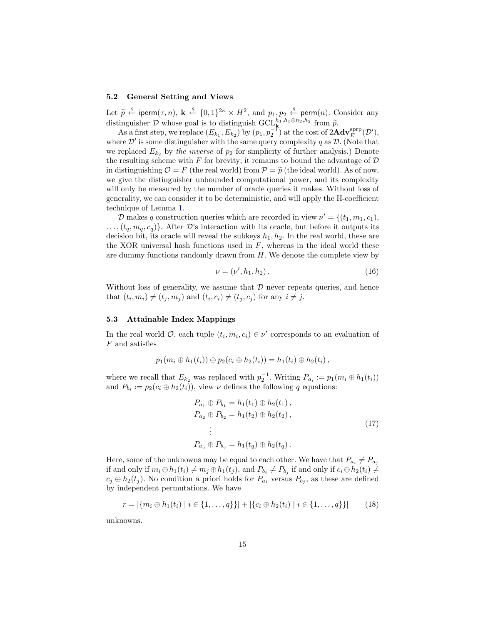#### 5.2 General Setting and Views

Let  $\tilde{p} \stackrel{\text{*}}{\leftarrow}$  iperm $(\tau, n)$ ,  $\mathbf{k} \stackrel{\text{*}}{\leftarrow} \{0, 1\}^{2\kappa} \times H^2$ , and  $p_1, p_2 \stackrel{\text{*}}{\leftarrow}$  perm $(n)$ . Consider any distinguisher  $D$  whose goal is to distinguish  $GCL_k^{h_1,h_1\oplus h_2,h_2}$  from  $\tilde{p}$ .<br>As a first step, we replace  $(E_{k_1}, E_{k_2})$  by  $(p_1, p_2^{-1})$  at the cost of  $2\mathbf{Adv}_E^{\text{prp}}(\mathcal{D}')$ ,

where  $\mathcal{D}'$  is some distinguisher with the same query complexity q as  $\mathcal{D}$ . (Note that we replaced  $E_{k_2}$  by the inverse of  $p_2$  for simplicity of further analysis.) Denote the resulting scheme with  $F$  for brevity; it remains to bound the advantage of  $D$ in distinguishing  $\mathcal{O} = F$  (the real world) from  $\mathcal{P} = \tilde{p}$  (the ideal world). As of now, we give the distinguisher unbounded computational power, and its complexity will only be measured by the number of oracle queries it makes. Without loss of generality, we can consider it to be deterministic, and will apply the H-coefficient technique of Lemma [1.](#page-13-1)

D makes q construction queries which are recorded in view  $\nu' = \{(t_1, m_1, c_1),$  $\ldots$ ,  $(t_q, m_q, c_q)$ . After D's interaction with its oracle, but before it outputs its decision bit, its oracle will reveal the subkeys  $h_1, h_2$ . In the real world, these are the XOR universal hash functions used in  $F$ , whereas in the ideal world these are dummy functions randomly drawn from  $H$ . We denote the complete view by

$$
\nu = (\nu', h_1, h_2). \tag{16}
$$

Without loss of generality, we assume that  $\mathcal D$  never repeats queries, and hence that  $(t_i, m_i) \neq (t_j, m_j)$  and  $(t_i, c_i) \neq (t_j, c_j)$  for any  $i \neq j$ .

### 5.3 Attainable Index Mappings

In the real world  $\mathcal{O}$ , each tuple  $(t_i, m_i, c_i) \in \nu'$  corresponds to an evaluation of F and satisfies

$$
p_1(m_i \oplus h_1(t_i)) \oplus p_2(c_i \oplus h_2(t_i)) = h_1(t_i) \oplus h_2(t_i),
$$

where we recall that  $E_{k_2}$  was replaced with  $p_2^{-1}$ . Writing  $P_{a_i} := p_1(m_i \oplus h_1(t_i))$ and  $P_{b_i} := p_2(c_i \oplus h_2(t_i))$ , view  $\nu$  defines the following q equations:

<span id="page-14-1"></span><span id="page-14-0"></span>
$$
P_{a_1} \oplus P_{b_1} = h_1(t_1) \oplus h_2(t_1),
$$
  
\n
$$
P_{a_2} \oplus P_{b_2} = h_1(t_2) \oplus h_2(t_2),
$$
  
\n
$$
\vdots
$$
  
\n
$$
P_{a_q} \oplus P_{b_q} = h_1(t_q) \oplus h_2(t_q).
$$
\n(17)

Here, some of the unknowns may be equal to each other. We have that  $P_{a_i} \neq P_{a_j}$ if and only if  $m_i \oplus h_1(t_i) \neq m_j \oplus h_1(t_j)$ , and  $P_{b_i} \neq P_{b_j}$  if and only if  $c_i \oplus h_2(t_i) \neq$  $c_j \oplus h_2(t_j)$ . No condition a priori holds for  $P_{a_i}$  versus  $P_{b_j}$ , as these are defined by independent permutations. We have

$$
r = |\{m_i \oplus h_1(t_i) \mid i \in \{1, ..., q\}\}| + |\{c_i \oplus h_2(t_i) \mid i \in \{1, ..., q\}\}| \tag{18}
$$

unknowns.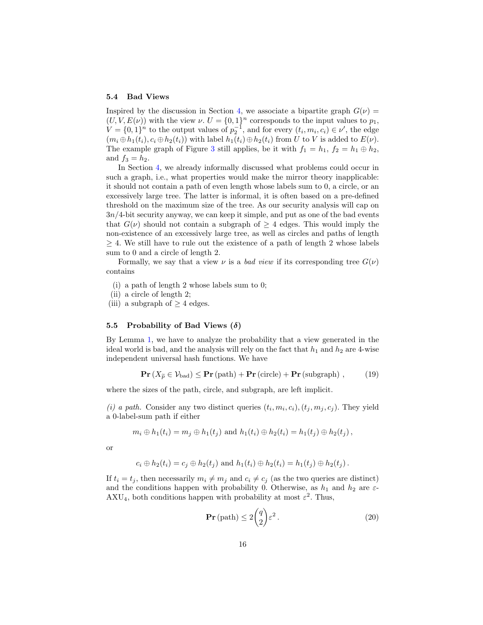#### 5.4 Bad Views

Inspired by the discussion in Section [4,](#page-8-0) we associate a bipartite graph  $G(\nu)$  =  $(U, V, E(\nu))$  with the view  $\nu$ .  $U = \{0, 1\}^n$  corresponds to the input values to  $p_1$ ,  $V = \{0, 1\}^n$  to the output values of  $p_2^{-1}$ , and for every  $(t_i, m_i, c_i) \in \nu'$ , the edge  $(m_i \oplus h_1(t_i), c_i \oplus h_2(t_i))$  with label  $h_1(t_i) \oplus h_2(t_i)$  from U to V is added to  $E(\nu)$ . The example graph of Figure [3](#page-9-0) still applies, be it with  $f_1 = h_1$ ,  $f_2 = h_1 \oplus h_2$ , and  $f_3 = h_2$ .

In Section [4,](#page-8-0) we already informally discussed what problems could occur in such a graph, i.e., what properties would make the mirror theory inapplicable: it should not contain a path of even length whose labels sum to 0, a circle, or an excessively large tree. The latter is informal, it is often based on a pre-defined threshold on the maximum size of the tree. As our security analysis will cap on 3n/4-bit security anyway, we can keep it simple, and put as one of the bad events that  $G(\nu)$  should not contain a subgraph of  $\geq 4$  edges. This would imply the non-existence of an excessively large tree, as well as circles and paths of length  $\geq$  4. We still have to rule out the existence of a path of length 2 whose labels sum to 0 and a circle of length 2.

Formally, we say that a view  $\nu$  is a bad view if its corresponding tree  $G(\nu)$ contains

- (i) a path of length 2 whose labels sum to 0;
- (ii) a circle of length 2;
- (iii) a subgraph of  $\geq 4$  edges.

# <span id="page-15-2"></span>5.5 Probability of Bad Views  $(\delta)$

By Lemma [1,](#page-13-1) we have to analyze the probability that a view generated in the ideal world is bad, and the analysis will rely on the fact that  $h_1$  and  $h_2$  are 4-wise independent universal hash functions. We have

$$
\mathbf{Pr}\left(X_{\widetilde{p}} \in \mathcal{V}_{bad}\right) \leq \mathbf{Pr}\left(\text{path}\right) + \mathbf{Pr}\left(\text{circle}\right) + \mathbf{Pr}\left(\text{subgraph}\right) ,\qquad(19)
$$

where the sizes of the path, circle, and subgraph, are left implicit.

(*i*) a path. Consider any two distinct queries  $(t_i, m_i, c_i)$ ,  $(t_j, m_j, c_j)$ . They yield a 0-label-sum path if either

$$
m_i \oplus h_1(t_i) = m_j \oplus h_1(t_j)
$$
 and  $h_1(t_i) \oplus h_2(t_i) = h_1(t_j) \oplus h_2(t_j)$ ,

or

$$
c_i \oplus h_2(t_i) = c_j \oplus h_2(t_j)
$$
 and  $h_1(t_i) \oplus h_2(t_i) = h_1(t_j) \oplus h_2(t_j)$ .

If  $t_i = t_j$ , then necessarily  $m_i \neq m_j$  and  $c_i \neq c_j$  (as the two queries are distinct) and the conditions happen with probability 0. Otherwise, as  $h_1$  and  $h_2$  are  $\varepsilon$ - $AXU_4$ , both conditions happen with probability at most  $\varepsilon^2$ . Thus,

<span id="page-15-1"></span><span id="page-15-0"></span>
$$
\mathbf{Pr}\left(\text{path}\right) \le 2\binom{q}{2}\varepsilon^2. \tag{20}
$$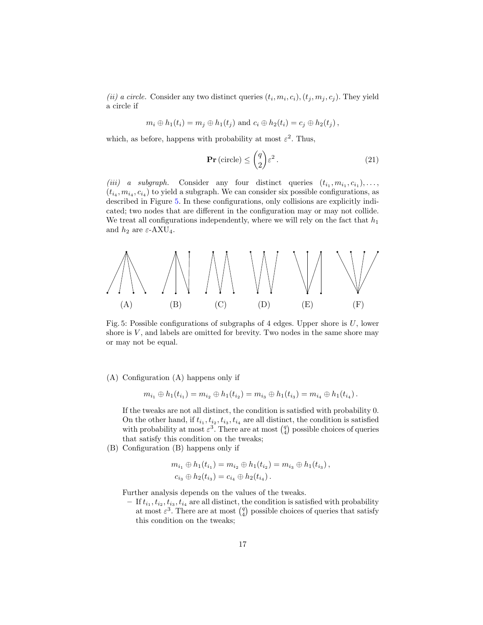(*ii*) a circle. Consider any two distinct queries  $(t_i, m_i, c_i)$ ,  $(t_j, m_j, c_j)$ . They yield a circle if

$$
m_i \oplus h_1(t_i) = m_j \oplus h_1(t_j)
$$
 and  $c_i \oplus h_2(t_i) = c_j \oplus h_2(t_j)$ ,

which, as before, happens with probability at most  $\varepsilon^2$ . Thus,

<span id="page-16-1"></span>
$$
\mathbf{Pr}\left(\text{circle}\right) \le \binom{q}{2} \varepsilon^2. \tag{21}
$$

(*iii*) a subgraph. Consider any four distinct queries  $(t_{i_1}, m_{i_1}, c_{i_1}), \ldots,$  $(t_{i_4}, m_{i_4}, c_{i_4})$  to yield a subgraph. We can consider six possible configurations, as described in Figure [5.](#page-16-0) In these configurations, only collisions are explicitly indicated; two nodes that are different in the configuration may or may not collide. We treat all configurations independently, where we will rely on the fact that  $h_1$ and  $h_2$  are  $\varepsilon\text{-AXU}_4.$ 

<span id="page-16-0"></span>

Fig. 5: Possible configurations of subgraphs of 4 edges. Upper shore is  $U$ , lower shore is  $V$ , and labels are omitted for brevity. Two nodes in the same shore may or may not be equal.

# (A) Configuration (A) happens only if

$$
m_{i_1} \oplus h_1(t_{i_1}) = m_{i_2} \oplus h_1(t_{i_2}) = m_{i_3} \oplus h_1(t_{i_3}) = m_{i_4} \oplus h_1(t_{i_4}).
$$

If the tweaks are not all distinct, the condition is satisfied with probability 0. On the other hand, if  $t_{i_1}, t_{i_2}, t_{i_3}, t_{i_4}$  are all distinct, the condition is satisfied with probability at most  $\varepsilon^3$ . There are at most  $\binom{q}{4}$  possible choices of queries that satisfy this condition on the tweaks;

(B) Configuration (B) happens only if

$$
m_{i_1} \oplus h_1(t_{i_1}) = m_{i_2} \oplus h_1(t_{i_2}) = m_{i_3} \oplus h_1(t_{i_3}),
$$
  

$$
c_{i_3} \oplus h_2(t_{i_3}) = c_{i_4} \oplus h_2(t_{i_4}).
$$

Further analysis depends on the values of the tweaks.

 $-$  If  $t_{i_1}, t_{i_2}, t_{i_3}, t_{i_4}$  are all distinct, the condition is satisfied with probability at most  $\varepsilon^3$ . There are at most  $\binom{q}{4}$  possible choices of queries that satisfy this condition on the tweaks;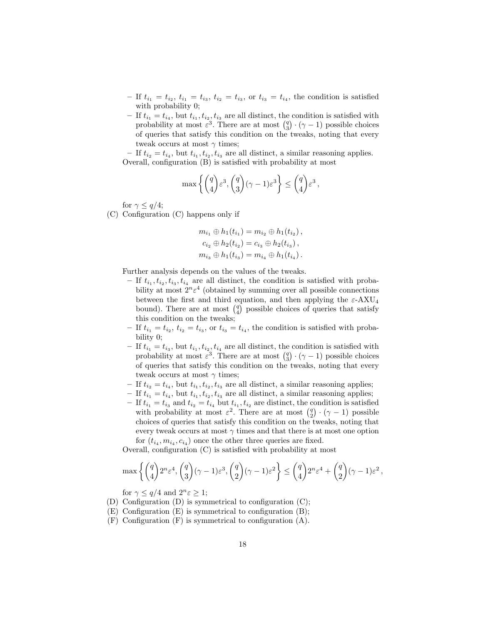- If  $t_{i_1} = t_{i_2}, t_{i_1} = t_{i_3}, t_{i_2} = t_{i_3}$ , or  $t_{i_3} = t_{i_4}$ , the condition is satisfied with probability 0;
- If  $t_{i_1} = t_{i_4}$ , but  $t_{i_1}, t_{i_2}, t_{i_3}$  are all distinct, the condition is satisfied with probability at most  $\varepsilon^3$ . There are at most  $\binom{q}{3} \cdot (\gamma - 1)$  possible choices of queries that satisfy this condition on the tweaks, noting that every tweak occurs at most  $\gamma$  times;

- If  $t_{i_2} = t_{i_4}$ , but  $t_{i_1}, t_{i_2}, t_{i_3}$  are all distinct, a similar reasoning applies. Overall, configuration (B) is satisfied with probability at most

$$
\max\left\{ \binom{q}{4} \varepsilon^3, \binom{q}{3} (\gamma - 1) \varepsilon^3 \right\} \le \binom{q}{4} \varepsilon^3,
$$

for  $\gamma \leq q/4$ ;

(C) Configuration (C) happens only if

$$
m_{i_1} \oplus h_1(t_{i_1}) = m_{i_2} \oplus h_1(t_{i_2}),
$$
  
\n
$$
c_{i_2} \oplus h_2(t_{i_2}) = c_{i_3} \oplus h_2(t_{i_3}),
$$
  
\n
$$
m_{i_3} \oplus h_1(t_{i_3}) = m_{i_4} \oplus h_1(t_{i_4}).
$$

Further analysis depends on the values of the tweaks.

- If  $t_{i_1}, t_{i_2}, t_{i_3}, t_{i_4}$  are all distinct, the condition is satisfied with probability at most  $2^n \varepsilon^4$  (obtained by summing over all possible connections between the first and third equation, and then applying the  $\varepsilon$ -AXU<sub>4</sub> bound). There are at most  $\binom{q}{4}$  possible choices of queries that satisfy this condition on the tweaks;
- If  $t_{i_1} = t_{i_2}, t_{i_2} = t_{i_3}$ , or  $t_{i_3} = t_{i_4}$ , the condition is satisfied with probability 0;
- If  $t_{i_1} = t_{i_3}$ , but  $t_{i_1}, t_{i_2}, t_{i_4}$  are all distinct, the condition is satisfied with probability at most  $\varepsilon^3$ . There are at most  $\binom{q}{3} \cdot (\gamma - 1)$  possible choices of queries that satisfy this condition on the tweaks, noting that every tweak occurs at most  $\gamma$  times;
- If  $t_{i_2} = t_{i_4}$ , but  $t_{i_1}, t_{i_2}, t_{i_3}$  are all distinct, a similar reasoning applies;
- If  $t_{i_1} = t_{i_4}$ , but  $t_{i_1}, t_{i_2}, t_{i_3}$  are all distinct, a similar reasoning applies;
- $-$  If  $t_{i_1} = t_{i_3}$  and  $t_{i_2} = t_{i_4}$  but  $t_{i_1}, t_{i_2}$  are distinct, the condition is satisfied with probability at most  $\varepsilon^2$ . There are at most  $\binom{q}{2} \cdot (\gamma - 1)$  possible choices of queries that satisfy this condition on the tweaks, noting that every tweak occurs at most  $\gamma$  times and that there is at most one option for  $(t_{i_4}, m_{i_4}, c_{i_4})$  once the other three queries are fixed.

Overall, configuration (C) is satisfied with probability at most

$$
\max\left\{ \binom{q}{4} 2^n \varepsilon^4, \binom{q}{3} (\gamma - 1) \varepsilon^3, \binom{q}{2} (\gamma - 1) \varepsilon^2 \right\} \le \binom{q}{4} 2^n \varepsilon^4 + \binom{q}{2} (\gamma - 1) \varepsilon^2,
$$

for  $\gamma \leq q/4$  and  $2^n \varepsilon \geq 1$ ;

- (D) Configuration (D) is symmetrical to configuration (C);
- (E) Configuration (E) is symmetrical to configuration (B);
- (F) Configuration (F) is symmetrical to configuration (A).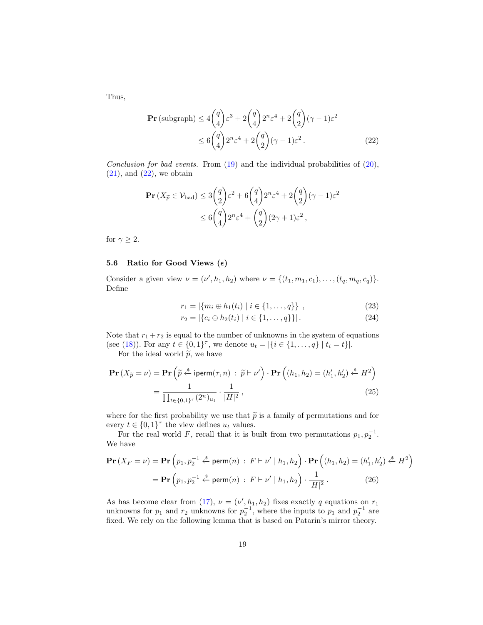Thus,

<span id="page-18-1"></span>
$$
\mathbf{Pr}\left(\text{subgraph}\right) \le 4\binom{q}{4}\varepsilon^3 + 2\binom{q}{4}2^n\varepsilon^4 + 2\binom{q}{2}(\gamma - 1)\varepsilon^2
$$

$$
\le 6\binom{q}{4}2^n\varepsilon^4 + 2\binom{q}{2}(\gamma - 1)\varepsilon^2. \tag{22}
$$

Conclusion for bad events. From  $(19)$  and the individual probabilities of  $(20)$ ,  $(21)$ , and  $(22)$ , we obtain

$$
\begin{aligned} \mathbf{Pr}\left(X_{\widetilde{p}} \in \mathcal{V}_{\text{bad}}\right) &\leq 3\binom{q}{2}\varepsilon^2 + 6\binom{q}{4}2^n\varepsilon^4 + 2\binom{q}{2}(\gamma - 1)\varepsilon^2 \\ &\leq 6\binom{q}{4}2^n\varepsilon^4 + \binom{q}{2}(2\gamma + 1)\varepsilon^2 \,, \end{aligned}
$$

for  $\gamma \geq 2$ .

## <span id="page-18-0"></span>5.6 Ratio for Good Views  $(\epsilon)$

Consider a given view  $\nu = (\nu', h_1, h_2)$  where  $\nu = \{(t_1, m_1, c_1), \dots, (t_q, m_q, c_q)\}.$ Define

$$
r_1 = |\{m_i \oplus h_1(t_i) \mid i \in \{1, \dots, q\}\}|,\tag{23}
$$

<span id="page-18-3"></span>
$$
r_2 = |\{c_i \oplus h_2(t_i) \mid i \in \{1, \dots, q\}\}|. \tag{24}
$$

Note that  $r_1 + r_2$  is equal to the number of unknowns in the system of equations (see [\(18\)](#page-14-0)). For any  $t \in \{0,1\}^{\tau}$ , we denote  $u_t = |\{i \in \{1,\ldots,q\} | t_i = t\}|$ .

For the ideal world  $\tilde{p}$ , we have

$$
\mathbf{Pr}\left(X_{\widetilde{p}} = \nu\right) = \mathbf{Pr}\left(\widetilde{p} \stackrel{\text{s}}{\leftarrow} \text{iperm}(\tau, n) : \widetilde{p} \vdash \nu'\right) \cdot \mathbf{Pr}\left((h_1, h_2) = (h'_1, h'_2) \stackrel{\text{s}}{\leftarrow} H^2\right) \\
= \frac{1}{\prod_{t \in \{0, 1\}^{\tau}} (2^n)_{u_t} \cdot \frac{1}{|H|^2},\n\tag{25}
$$

where for the first probability we use that  $\tilde{p}$  is a family of permutations and for every  $t \in \{0,1\}^{\tau}$  the view defines  $u_t$  values.

For the real world F, recall that it is built from two permutations  $p_1, p_2^{-1}$ . We have

$$
\mathbf{Pr}\left(X_F = \nu\right) = \mathbf{Pr}\left(p_1, p_2^{-1} \stackrel{\$}{\leftarrow} \mathsf{perm}(n) : F \vdash \nu' \mid h_1, h_2\right) \cdot \mathbf{Pr}\left((h_1, h_2) = (h'_1, h'_2) \stackrel{\$}{\leftarrow} H^2\right)
$$
\n
$$
= \mathbf{Pr}\left(p_1, p_2^{-1} \stackrel{\$}{\leftarrow} \mathsf{perm}(n) : F \vdash \nu' \mid h_1, h_2\right) \cdot \frac{1}{|H|^2}.\tag{26}
$$

<span id="page-18-2"></span>As has become clear from [\(17\)](#page-14-1),  $\nu = (\nu', h_1, h_2)$  fixes exactly q equations on  $r_1$ unknowns for  $p_1$  and  $r_2$  unknowns for  $p_2^{-1}$ , where the inputs to  $p_1$  and  $p_2^{-1}$  are fixed. We rely on the following lemma that is based on Patarin's mirror theory.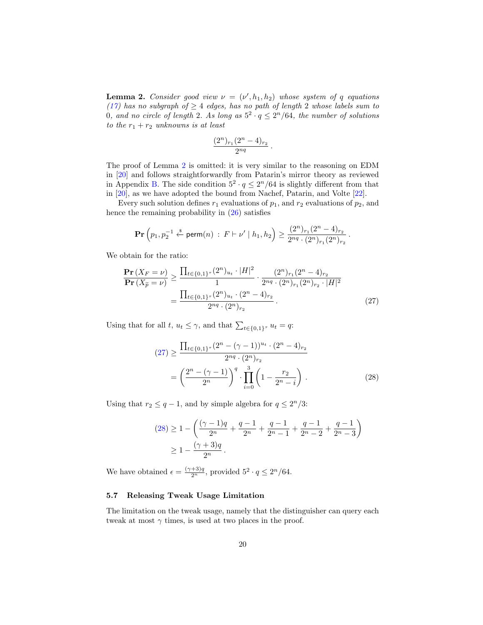**Lemma 2.** Consider good view  $\nu = (\nu', h_1, h_2)$  whose system of q equations [\(17\)](#page-14-1) has no subgraph of  $\geq 4$  edges, has no path of length 2 whose labels sum to 0, and no circle of length 2. As long as  $5^2 \cdot q \leq 2^n/64$ , the number of solutions to the  $r_1 + r_2$  unknowns is at least

$$
\frac{(2^n)_{r_1}(2^n-4)_{r_2}}{2^{nq}}.
$$

The proof of Lemma [2](#page-18-2) is omitted: it is very similar to the reasoning on EDM in [\[20\]](#page-21-8) and follows straightforwardly from Patarin's mirror theory as reviewed in Appendix [B.](#page-29-0) The side condition  $5^2 \cdot q \leq 2^n/64$  is slightly different from that in [\[20\]](#page-21-8), as we have adopted the bound from Nachef, Patarin, and Volte [\[22\]](#page-21-9).

Every such solution defines  $r_1$  evaluations of  $p_1$ , and  $r_2$  evaluations of  $p_2$ , and hence the remaining probability in [\(26\)](#page-18-3) satisfies

$$
\mathbf{Pr}\left(p_1, p_2^{-1} \xleftarrow{\$} \mathsf{perm}(n) \ : \ F \vdash \nu' \mid h_1, h_2\right) \geq \frac{(2^n)_{r_1}(2^n - 4)_{r_2}}{2^{nq} \cdot (2^n)_{r_1}(2^n)_{r_2}}\,.
$$

We obtain for the ratio:

$$
\frac{\mathbf{Pr}\left(X_F = \nu\right)}{\mathbf{Pr}\left(X_{\widetilde{p}} = \nu\right)} \ge \frac{\prod_{t \in \{0,1\}^r} (2^n)_{u_t} \cdot |H|^2}{1} \cdot \frac{(2^n)_{r_1} (2^n - 4)_{r_2}}{2^{nq} \cdot (2^n)_{r_1} (2^n)_{r_2} \cdot |H|^2}
$$
\n
$$
= \frac{\prod_{t \in \{0,1\}^r} (2^n)_{u_t} \cdot (2^n - 4)_{r_2}}{2^{nq} \cdot (2^n)_{r_2}} \,. \tag{27}
$$

Using that for all  $t, u_t \leq \gamma$ , and that  $\sum_{t \in \{0,1\}^{\tau}} u_t = q$ :

<span id="page-19-2"></span><span id="page-19-1"></span>
$$
(27) \ge \frac{\prod_{t \in \{0,1\}^r} (2^n - (\gamma - 1))^{u_t} \cdot (2^n - 4)_{r_2}}{2^{nq} \cdot (2^n)_{r_2}}
$$

$$
= \left(\frac{2^n - (\gamma - 1)}{2^n}\right)^q \cdot \prod_{i=0}^3 \left(1 - \frac{r_2}{2^n - i}\right). \tag{28}
$$

Using that  $r_2 \leq q-1$ , and by simple algebra for  $q \leq 2^n/3$ :

$$
(28) \ge 1 - \left(\frac{(\gamma - 1)q}{2^n} + \frac{q - 1}{2^n} + \frac{q - 1}{2^n - 1} + \frac{q - 1}{2^n - 2} + \frac{q - 1}{2^n - 3}\right)
$$
  
 
$$
\ge 1 - \frac{(\gamma + 3)q}{2^n}.
$$

We have obtained  $\epsilon = \frac{(\gamma+3)q}{2^n}$ , provided  $5^2 \cdot q \leq 2^n/64$ .

## <span id="page-19-0"></span>5.7 Releasing Tweak Usage Limitation

The limitation on the tweak usage, namely that the distinguisher can query each tweak at most  $\gamma$  times, is used at two places in the proof.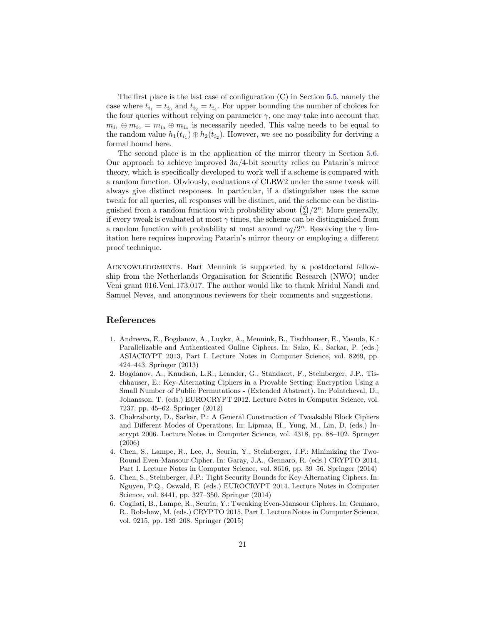The first place is the last case of configuration (C) in Section [5.5,](#page-15-2) namely the case where  $t_{i_1} = t_{i_3}$  and  $t_{i_2} = t_{i_4}$ . For upper bounding the number of choices for the four queries without relying on parameter  $\gamma$ , one may take into account that  $m_{i_1} \oplus m_{i_2} = m_{i_3} \oplus m_{i_4}$  is necessarily needed. This value needs to be equal to the random value  $h_1(t_{i_1}) \oplus h_2(t_{i_2})$ . However, we see no possibility for deriving a formal bound here.

The second place is in the application of the mirror theory in Section [5.6.](#page-18-0) Our approach to achieve improved  $3n/4$ -bit security relies on Patarin's mirror theory, which is specifically developed to work well if a scheme is compared with a random function. Obviously, evaluations of CLRW2 under the same tweak will always give distinct responses. In particular, if a distinguisher uses the same tweak for all queries, all responses will be distinct, and the scheme can be distinguished from a random function with probability about  $\binom{q}{2}/2^n$ . More generally, if every tweak is evaluated at most  $\gamma$  times, the scheme can be distinguished from a random function with probability at most around  $\gamma q/2^n$ . Resolving the  $\gamma$  limitation here requires improving Patarin's mirror theory or employing a different proof technique.

Acknowledgments. Bart Mennink is supported by a postdoctoral fellowship from the Netherlands Organisation for Scientific Research (NWO) under Veni grant 016.Veni.173.017. The author would like to thank Mridul Nandi and Samuel Neves, and anonymous reviewers for their comments and suggestions.

# References

- <span id="page-20-0"></span>1. Andreeva, E., Bogdanov, A., Luykx, A., Mennink, B., Tischhauser, E., Yasuda, K.: Parallelizable and Authenticated Online Ciphers. In: Sako, K., Sarkar, P. (eds.) ASIACRYPT 2013, Part I. Lecture Notes in Computer Science, vol. 8269, pp. 424–443. Springer (2013)
- <span id="page-20-3"></span>2. Bogdanov, A., Knudsen, L.R., Leander, G., Standaert, F., Steinberger, J.P., Tischhauser, E.: Key-Alternating Ciphers in a Provable Setting: Encryption Using a Small Number of Public Permutations - (Extended Abstract). In: Pointcheval, D., Johansson, T. (eds.) EUROCRYPT 2012. Lecture Notes in Computer Science, vol. 7237, pp. 45–62. Springer (2012)
- <span id="page-20-1"></span>3. Chakraborty, D., Sarkar, P.: A General Construction of Tweakable Block Ciphers and Different Modes of Operations. In: Lipmaa, H., Yung, M., Lin, D. (eds.) Inscrypt 2006. Lecture Notes in Computer Science, vol. 4318, pp. 88–102. Springer (2006)
- <span id="page-20-5"></span>4. Chen, S., Lampe, R., Lee, J., Seurin, Y., Steinberger, J.P.: Minimizing the Two-Round Even-Mansour Cipher. In: Garay, J.A., Gennaro, R. (eds.) CRYPTO 2014, Part I. Lecture Notes in Computer Science, vol. 8616, pp. 39–56. Springer (2014)
- <span id="page-20-4"></span>5. Chen, S., Steinberger, J.P.: Tight Security Bounds for Key-Alternating Ciphers. In: Nguyen, P.Q., Oswald, E. (eds.) EUROCRYPT 2014. Lecture Notes in Computer Science, vol. 8441, pp. 327–350. Springer (2014)
- <span id="page-20-2"></span>6. Cogliati, B., Lampe, R., Seurin, Y.: Tweaking Even-Mansour Ciphers. In: Gennaro, R., Robshaw, M. (eds.) CRYPTO 2015, Part I. Lecture Notes in Computer Science, vol. 9215, pp. 189–208. Springer (2015)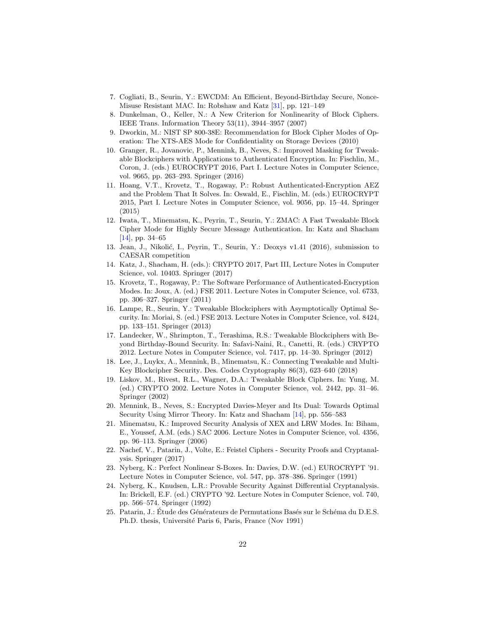- <span id="page-21-11"></span>7. Cogliati, B., Seurin, Y.: EWCDM: An Efficient, Beyond-Birthday Secure, Nonce-Misuse Resistant MAC. In: Robshaw and Katz [\[31\]](#page-22-9), pp. 121–149
- <span id="page-21-14"></span>8. Dunkelman, O., Keller, N.: A New Criterion for Nonlinearity of Block Ciphers. IEEE Trans. Information Theory 53(11), 3944–3957 (2007)
- <span id="page-21-4"></span>9. Dworkin, M.: NIST SP 800-38E: Recommendation for Block Cipher Modes of Operation: The XTS-AES Mode for Confidentiality on Storage Devices (2010)
- <span id="page-21-6"></span>10. Granger, R., Jovanovic, P., Mennink, B., Neves, S.: Improved Masking for Tweakable Blockciphers with Applications to Authenticated Encryption. In: Fischlin, M., Coron, J. (eds.) EUROCRYPT 2016, Part I. Lecture Notes in Computer Science, vol. 9665, pp. 263–293. Springer (2016)
- <span id="page-21-2"></span>11. Hoang, V.T., Krovetz, T., Rogaway, P.: Robust Authenticated-Encryption AEZ and the Problem That It Solves. In: Oswald, E., Fischlin, M. (eds.) EUROCRYPT 2015, Part I. Lecture Notes in Computer Science, vol. 9056, pp. 15–44. Springer (2015)
- <span id="page-21-10"></span>12. Iwata, T., Minematsu, K., Peyrin, T., Seurin, Y.: ZMAC: A Fast Tweakable Block Cipher Mode for Highly Secure Message Authentication. In: Katz and Shacham [\[14\]](#page-21-18), pp. 34–65
- <span id="page-21-3"></span>13. Jean, J., Nikolić, I., Peyrin, T., Seurin, Y.: Deoxys v1.41 (2016), submission to CAESAR competition
- <span id="page-21-18"></span>14. Katz, J., Shacham, H. (eds.): CRYPTO 2017, Part III, Lecture Notes in Computer Science, vol. 10403. Springer (2017)
- <span id="page-21-1"></span>15. Krovetz, T., Rogaway, P.: The Software Performance of Authenticated-Encryption Modes. In: Joux, A. (ed.) FSE 2011. Lecture Notes in Computer Science, vol. 6733, pp. 306–327. Springer (2011)
- <span id="page-21-12"></span>16. Lampe, R., Seurin, Y.: Tweakable Blockciphers with Asymptotically Optimal Security. In: Moriai, S. (ed.) FSE 2013. Lecture Notes in Computer Science, vol. 8424, pp. 133–151. Springer (2013)
- <span id="page-21-7"></span>17. Landecker, W., Shrimpton, T., Terashima, R.S.: Tweakable Blockciphers with Beyond Birthday-Bound Security. In: Safavi-Naini, R., Canetti, R. (eds.) CRYPTO 2012. Lecture Notes in Computer Science, vol. 7417, pp. 14–30. Springer (2012)
- <span id="page-21-13"></span>18. Lee, J., Luykx, A., Mennink, B., Minematsu, K.: Connecting Tweakable and Multi-Key Blockcipher Security. Des. Codes Cryptography 86(3), 623–640 (2018)
- <span id="page-21-0"></span>19. Liskov, M., Rivest, R.L., Wagner, D.A.: Tweakable Block Ciphers. In: Yung, M. (ed.) CRYPTO 2002. Lecture Notes in Computer Science, vol. 2442, pp. 31–46. Springer (2002)
- <span id="page-21-8"></span>20. Mennink, B., Neves, S.: Encrypted Davies-Meyer and Its Dual: Towards Optimal Security Using Mirror Theory. In: Katz and Shacham [\[14\]](#page-21-18), pp. 556–583
- <span id="page-21-5"></span>21. Minematsu, K.: Improved Security Analysis of XEX and LRW Modes. In: Biham, E., Youssef, A.M. (eds.) SAC 2006. Lecture Notes in Computer Science, vol. 4356, pp. 96–113. Springer (2006)
- <span id="page-21-9"></span>22. Nachef, V., Patarin, J., Volte, E.: Feistel Ciphers - Security Proofs and Cryptanalysis. Springer (2017)
- <span id="page-21-15"></span>23. Nyberg, K.: Perfect Nonlinear S-Boxes. In: Davies, D.W. (ed.) EUROCRYPT '91. Lecture Notes in Computer Science, vol. 547, pp. 378–386. Springer (1991)
- <span id="page-21-16"></span>24. Nyberg, K., Knudsen, L.R.: Provable Security Against Differential Cryptanalysis. In: Brickell, E.F. (ed.) CRYPTO '92. Lecture Notes in Computer Science, vol. 740, pp. 566–574. Springer (1992)
- <span id="page-21-17"></span>25. Patarin, J.: Étude des Générateurs de Permutations Basés sur le Schéma du D.E.S. Ph.D. thesis, Université Paris 6, Paris, France (Nov 1991)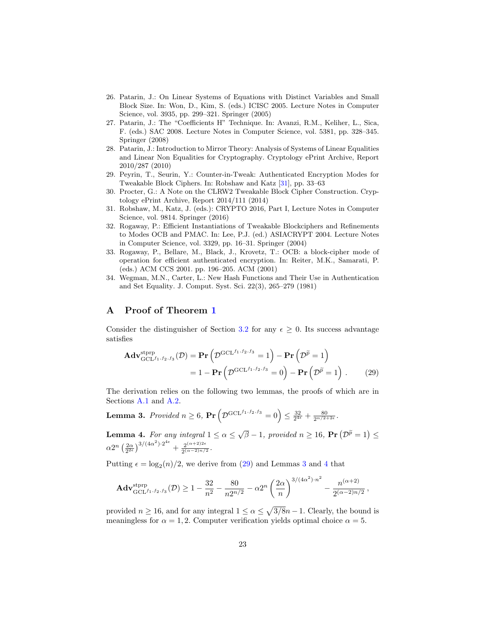- <span id="page-22-4"></span>26. Patarin, J.: On Linear Systems of Equations with Distinct Variables and Small Block Size. In: Won, D., Kim, S. (eds.) ICISC 2005. Lecture Notes in Computer Science, vol. 3935, pp. 299–321. Springer (2005)
- <span id="page-22-8"></span>27. Patarin, J.: The "Coefficients H" Technique. In: Avanzi, R.M., Keliher, L., Sica, F. (eds.) SAC 2008. Lecture Notes in Computer Science, vol. 5381, pp. 328–345. Springer (2008)
- <span id="page-22-5"></span>28. Patarin, J.: Introduction to Mirror Theory: Analysis of Systems of Linear Equalities and Linear Non Equalities for Cryptography. Cryptology ePrint Archive, Report 2010/287 (2010)
- <span id="page-22-2"></span>29. Peyrin, T., Seurin, Y.: Counter-in-Tweak: Authenticated Encryption Modes for Tweakable Block Ciphers. In: Robshaw and Katz [\[31\]](#page-22-9), pp. 33–63
- <span id="page-22-3"></span>30. Procter, G.: A Note on the CLRW2 Tweakable Block Cipher Construction. Cryptology ePrint Archive, Report 2014/111 (2014)
- <span id="page-22-9"></span>31. Robshaw, M., Katz, J. (eds.): CRYPTO 2016, Part I, Lecture Notes in Computer Science, vol. 9814. Springer (2016)
- <span id="page-22-0"></span>32. Rogaway, P.: Efficient Instantiations of Tweakable Blockciphers and Refinements to Modes OCB and PMAC. In: Lee, P.J. (ed.) ASIACRYPT 2004. Lecture Notes in Computer Science, vol. 3329, pp. 16–31. Springer (2004)
- <span id="page-22-1"></span>33. Rogaway, P., Bellare, M., Black, J., Krovetz, T.: OCB: a block-cipher mode of operation for efficient authenticated encryption. In: Reiter, M.K., Samarati, P. (eds.) ACM CCS 2001. pp. 196–205. ACM (2001)
- <span id="page-22-6"></span>34. Wegman, M.N., Carter, L.: New Hash Functions and Their Use in Authentication and Set Equality. J. Comput. Syst. Sci. 22(3), 265–279 (1981)

# <span id="page-22-7"></span>A Proof of Theorem [1](#page-7-3)

Consider the distinguisher of Section [3.2](#page-6-0) for any  $\epsilon \geq 0$ . Its success advantage satisfies

<span id="page-22-11"></span><span id="page-22-10"></span>
$$
\mathbf{Adv}_{\mathrm{GCL}^{f_1, f_2, f_3}}^{\mathrm{stprp}}(\mathcal{D}) = \mathbf{Pr}\left(\mathcal{D}^{\mathrm{GCL}^{f_1, f_2, f_3}} = 1\right) - \mathbf{Pr}\left(\mathcal{D}^{\widetilde{p}} = 1\right)
$$

$$
= 1 - \mathbf{Pr}\left(\mathcal{D}^{\mathrm{GCL}^{f_1, f_2, f_3}} = 0\right) - \mathbf{Pr}\left(\mathcal{D}^{\widetilde{p}} = 1\right). \tag{29}
$$

The derivation relies on the following two lemmas, the proofs of which are in Sections [A.1](#page-23-0) and [A.2.](#page-28-0)

**Lemma 3.** Provided  $n \geq 6$ , Pr  $\left(\mathcal{D}^{\text{GCL}^{f_1, f_2, f_3}} = 0\right) \leq \frac{32}{2^{4\epsilon}} + \frac{80}{2^{n/2+2\epsilon}}$ .

<span id="page-22-12"></span>**Lemma 4.** For any integral  $1 \le \alpha \le \sqrt{\beta} - 1$ , provided  $n \ge 16$ ,  $Pr(D^{\widetilde{p}} = 1) \le$  $\alpha 2^{n} \left(\frac{2\alpha}{2^{2\epsilon}}\right)^{3/(4\alpha^2)\cdot 2^{4\epsilon}} + \frac{2^{(\alpha+2)2\epsilon}}{2^{(\alpha-2)n/2}}$  $\frac{2^{(\alpha+2)2c}}{2^{(\alpha-2)n/2}}$ 

Putting  $\epsilon = \log_2(n)/2$ , we derive from [\(29\)](#page-22-10) and Lemmas [3](#page-22-11) and [4](#page-22-12) that

$$
\mathbf{Adv}_{\mathrm{GCL}^{f_1, f_2, f_3}}^{\mathrm{stprp}}(\mathcal{D}) \ge 1 - \frac{32}{n^2} - \frac{80}{n2^{n/2}} - \alpha 2^n \left(\frac{2\alpha}{n}\right)^{3/(4\alpha^2) \cdot n^2} - \frac{n^{(\alpha+2)}}{2^{(\alpha-2)n/2}},
$$

provided  $n \ge 16$ , and for any integral  $1 \le \alpha \le \sqrt{3/8n-1}$ . Clearly, the bound is meaningless for  $\alpha = 1, 2$ . Computer verification yields optimal choice  $\alpha = 5$ .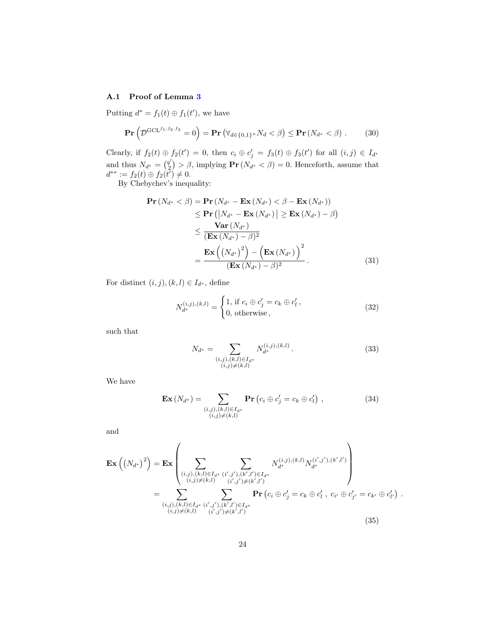# <span id="page-23-0"></span>A.1 Proof of Lemma [3](#page-22-11)

Putting  $d^* = f_1(t) \oplus f_1(t')$ , we have

$$
\mathbf{Pr}\left(\mathcal{D}^{\mathrm{GCL}^{f_1, f_2, f_3}} = 0\right) = \mathbf{Pr}\left(\forall_{d \in \{0, 1\}^n} N_d < \beta\right) \leq \mathbf{Pr}\left(N_{d^*} < \beta\right). \tag{30}
$$

Clearly, if  $f_2(t) \oplus f_2(t') = 0$ , then  $c_i \oplus c'_j = f_3(t) \oplus f_3(t')$  for all  $(i, j) \in I_{d^*}$ and thus  $N_{d^*} = \binom{q'}{2}$  $\binom{q'}{2}$  >  $\beta$ , implying  $\Pr(N_{d^*} < \beta) = 0$ . Henceforth, assume that  $d^{**} := f_2(t) \oplus f_2(t^{\prime}) \neq 0.$ 

By Chebychev's inequality:

<span id="page-23-2"></span>
$$
\begin{split} \mathbf{Pr}\left(N_{d^*} < \beta\right) &= \mathbf{Pr}\left(N_{d^*} - \mathbf{Ex}\left(N_{d^*}\right) < \beta - \mathbf{Ex}\left(N_{d^*}\right)\right) \\ &\leq \mathbf{Pr}\left(\left|N_{d^*} - \mathbf{Ex}\left(N_{d^*}\right)\right| \geq \mathbf{Ex}\left(N_{d^*}\right) - \beta\right) \\ &\leq \frac{\mathbf{Var}\left(N_{d^*}\right)}{\left(\mathbf{Ex}\left(N_{d^*}\right) - \beta\right)^2} \\ &= \frac{\mathbf{Ex}\left(\left(N_{d^*}\right)^2\right) - \left(\mathbf{Ex}\left(N_{d^*}\right)\right)^2}{\left(\mathbf{Ex}\left(N_{d^*}\right) - \beta\right)^2} \,. \end{split} \tag{31}
$$

For distinct  $(i, j), (k, l) \in I_{d^*}$ , define

<span id="page-23-3"></span>
$$
N_{d^*}^{(i,j),(k,l)} = \begin{cases} 1, & \text{if } c_i \oplus c'_j = c_k \oplus c'_l, \\ 0, & \text{otherwise,} \end{cases}
$$
 (32)

such that

$$
N_{d^*} = \sum_{\substack{(i,j),(k,l)\in I_{d^*}\\(i,j)\neq (k,l)}} N_{d^*}^{(i,j),(k,l)}.
$$
\n(33)

We have

<span id="page-23-1"></span>
$$
\mathbf{Ex}\left(N_{d^*}\right) = \sum_{\substack{(i,j),(k,l)\in I_{d^*}\\(i,j)\neq (k,l)}} \mathbf{Pr}\left(c_i \oplus c'_j = c_k \oplus c'_l\right) ,\qquad (34)
$$

and

$$
\mathbf{Ex}\left(\left(N_{d^*}\right)^2\right) = \mathbf{Ex}\left(\sum_{\substack{(i,j),(k,l)\in I_{d^*} \ (i',j'),(k',l')\in I_{d^*}\\(i,j)\neq (k,l)}} \sum_{\substack{(i',j),(k,l)\in I_{d^*} \ (i',j')\neq (k',l')}} N_{d^*}^{(i,j),(k,l)} N_{d^*}^{(i',j'),(k',l')} \right)
$$
\n
$$
= \sum_{\substack{(i,j),(k,l)\in I_{d^*} \ (i',j'),(k',l')\in I_{d^*}\\(i,j)\neq (k,l)}} \mathbf{Pr}\left(c_i \oplus c'_j = c_k \oplus c'_l, \ c_{i'} \oplus c'_{j'} = c_{k'} \oplus c'_{l'}\right).
$$
\n(35)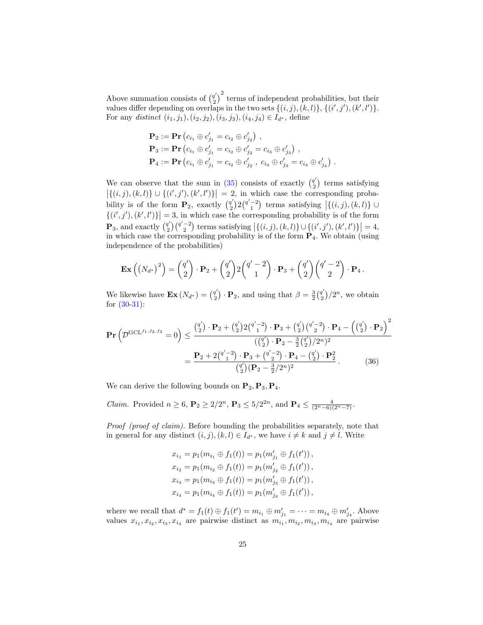Above summation consists of  $\binom{q'}{2}$  $\binom{q'}{2}^2$  terms of independent probabilities, but their values differ depending on overlaps in the two sets  $\{(i,j),(k,l)\}, \{(i',j'),(k',l')\}.$ For any distinct  $(i_1, j_1), (i_2, j_2), (i_3, j_3), (i_4, j_4) \in I_{d^*}$ , define

$$
\mathbf{P}_2 := \mathbf{Pr} (c_{i_1} \oplus c'_{j_1} = c_{i_2} \oplus c'_{j_2}),
$$
  
\n
$$
\mathbf{P}_3 := \mathbf{Pr} (c_{i_1} \oplus c'_{j_1} = c_{i_2} \oplus c'_{j_2} = c_{i_3} \oplus c'_{j_3}),
$$
  
\n
$$
\mathbf{P}_4 := \mathbf{Pr} (c_{i_1} \oplus c'_{j_1} = c_{i_2} \oplus c'_{j_2}, c_{i_3} \oplus c'_{j_3} = c_{i_4} \oplus c'_{j_4}).
$$

We can observe that the sum in [\(35\)](#page-23-1) consists of exactly  $\binom{q'}{2}$  $2^{q'}\choose 2$  terms satisfying  $|\{(i,j),(k,l)\}\cup\{(i',j'),(k',l')\}|=2$ , in which case the corresponding probability is of the form  $P_2$ , exactly  $\binom{q'}{2}$  $\mathbb{E}_2^{q'}(2q'^{-2})$  terms satisfying  $\vert \{(i,j),(k,l)\}\cup$  $\{(i',j'),(k',l')\}$  = 3, in which case the corresponding probability is of the form  $\mathbf{P}_3$ , and exactly  $\begin{pmatrix} q' \\ 2 \end{pmatrix}$  $q'_{2}$  ( $q'_{2}$ ) terms satisfying  $\left\{ \{(i,j),(k,l)\}\cup\{(i',j'),(k',l')\}\right\} = 4,$ in which case the corresponding probability is of the form  $\mathbf{P}_4$ . We obtain (using independence of the probabilities)

$$
\mathbf{Ex}\left(\left(N_{d^*}\right)^2\right) = \binom{q'}{2} \cdot \mathbf{P}_2 + \binom{q'}{2} 2 \binom{q'-2}{1} \cdot \mathbf{P}_3 + \binom{q'}{2} \binom{q'-2}{2} \cdot \mathbf{P}_4.
$$

We likewise have  $\mathbf{Ex}\left(N_{d^*}\right) = \begin{pmatrix} q' \\ 2 \end{pmatrix}$  $\mathbf{P}_1^{q'}$ ) ·  $\mathbf{P}_2$ , and using that  $\beta = \frac{3}{2} \left( \frac{q'}{2} \right)$  $\binom{q'}{2}/2^n$ , we obtain for [\(30-](#page-23-2)[31\)](#page-23-3):

$$
\mathbf{Pr}\left(\mathcal{D}^{\text{GCL}^{f_1, f_2, f_3}} = 0\right) \le \frac{\binom{q'}{2} \cdot \mathbf{P}_2 + \binom{q'}{2} 2\binom{q'-2}{1} \cdot \mathbf{P}_3 + \binom{q'}{2} \binom{q'-2}{2} \cdot \mathbf{P}_4 - \left(\binom{q'}{2} \cdot \mathbf{P}_2\right)^2}{\left(\binom{q'}{2} \cdot \mathbf{P}_2 - \frac{3}{2}\binom{q'}{2}/2^n\right)^2}
$$

$$
= \frac{\mathbf{P}_2 + 2\binom{q'-2}{1} \cdot \mathbf{P}_3 + \binom{q'-2}{2} \cdot \mathbf{P}_4 - \binom{q'}{2} \cdot \mathbf{P}_2^2}{\binom{q'}{2} \left(\mathbf{P}_2 - \frac{3}{2}/2^n\right)^2}.
$$
(36)

We can derive the following bounds on  $P_2, P_3, P_4$ .

*Claim.* Provided  $n \ge 6$ ,  $\mathbf{P}_2 \ge 2/2^n$ ,  $\mathbf{P}_3 \le 5/2^{2n}$ , and  $\mathbf{P}_4 \le \frac{4}{(2^n-6)(2^n-7)}$ .

Proof (proof of claim). Before bounding the probabilities separately, note that in general for any distinct  $(i, j), (k, l) \in I_{d^*}$ , we have  $i \neq k$  and  $j \neq l$ . Write

<span id="page-24-0"></span>
$$
x_{i_1} = p_1(m_{i_1} \oplus f_1(t)) = p_1(m'_{j_1} \oplus f_1(t')),
$$
  
\n
$$
x_{i_2} = p_1(m_{i_2} \oplus f_1(t)) = p_1(m'_{j_2} \oplus f_1(t')),
$$
  
\n
$$
x_{i_3} = p_1(m_{i_3} \oplus f_1(t)) = p_1(m'_{j_3} \oplus f_1(t')),
$$
  
\n
$$
x_{i_4} = p_1(m_{i_4} \oplus f_1(t)) = p_1(m'_{j_4} \oplus f_1(t')),
$$

where we recall that  $d^* = f_1(t) \oplus f_1(t') = m_{i_1} \oplus m'_{j_1} = \cdots = m_{i_4} \oplus m'_{j_4}$ . Above values  $x_{i_1}, x_{i_2}, x_{i_3}, x_{i_4}$  are pairwise distinct as  $m_{i_1}, m_{i_2}, m_{i_3}, m_{i_4}$  are pairwise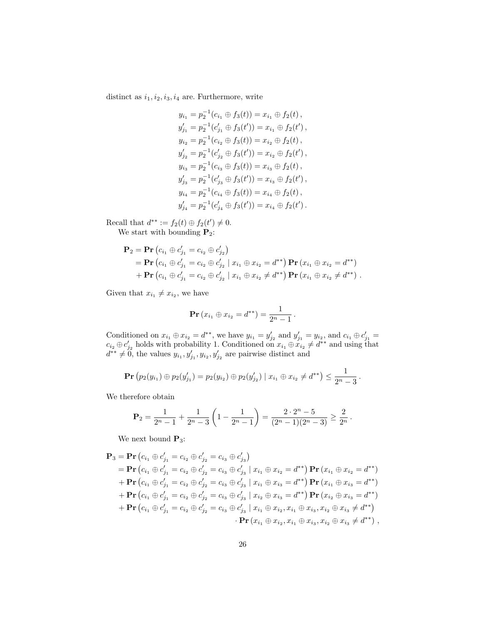distinct as  $i_1, i_2, i_3, i_4$  are. Furthermore, write

$$
y_{i_1} = p_2^{-1}(c_{i_1} \oplus f_3(t)) = x_{i_1} \oplus f_2(t),
$$
  
\n
$$
y'_{j_1} = p_2^{-1}(c'_{j_1} \oplus f_3(t')) = x_{i_1} \oplus f_2(t'),
$$
  
\n
$$
y_{i_2} = p_2^{-1}(c_{i_2} \oplus f_3(t)) = x_{i_2} \oplus f_2(t),
$$
  
\n
$$
y'_{j_2} = p_2^{-1}(c'_{j_2} \oplus f_3(t')) = x_{i_2} \oplus f_2(t'),
$$
  
\n
$$
y_{i_3} = p_2^{-1}(c_{i_3} \oplus f_3(t)) = x_{i_3} \oplus f_2(t),
$$
  
\n
$$
y'_{j_3} = p_2^{-1}(c'_{j_3} \oplus f_3(t')) = x_{i_3} \oplus f_2(t'),
$$
  
\n
$$
y_{i_4} = p_2^{-1}(c_{i_4} \oplus f_3(t)) = x_{i_4} \oplus f_2(t),
$$
  
\n
$$
y'_{j_4} = p_2^{-1}(c'_{j_4} \oplus f_3(t')) = x_{i_4} \oplus f_2(t').
$$

Recall that  $d^{**} := f_2(t) \oplus f_2(t') \neq 0$ .

We start with bounding  $P_2$ :

$$
\mathbf{P}_2 = \mathbf{Pr} (c_{i_1} \oplus c'_{j_1} = c_{i_2} \oplus c'_{j_2})
$$
  
=  $\mathbf{Pr} (c_{i_1} \oplus c'_{j_1} = c_{i_2} \oplus c'_{j_2} | x_{i_1} \oplus x_{i_2} = d^{**}) \mathbf{Pr} (x_{i_1} \oplus x_{i_2} = d^{**})$   
+  $\mathbf{Pr} (c_{i_1} \oplus c'_{j_1} = c_{i_2} \oplus c'_{j_2} | x_{i_1} \oplus x_{i_2} \neq d^{**}) \mathbf{Pr} (x_{i_1} \oplus x_{i_2} \neq d^{**})$ .

Given that  $x_{i_1} \neq x_{i_2}$ , we have

$$
\mathbf{Pr}(x_{i_1} \oplus x_{i_2} = d^{**}) = \frac{1}{2^n - 1}.
$$

Conditioned on  $x_{i_1} \oplus x_{i_2} = d^{**}$ , we have  $y_{i_1} = y'_{j_2}$  and  $y'_{j_1} = y_{i_2}$ , and  $c_{i_1} \oplus c'_{j_1} =$  $c_{i_2} \oplus c'_{j_2}$  holds with probability 1. Conditioned on  $x_{i_1} \oplus x_{i_2} \neq d^{**}$  and using that  $d^{**} \neq 0$ , the values  $y_{i_1}, y'_{j_1}, y_{i_2}, y'_{j_2}$  are pairwise distinct and

$$
\mathbf{Pr}(p_2(y_{i_1}) \oplus p_2(y'_{j_1}) = p_2(y_{i_2}) \oplus p_2(y'_{j_2}) \mid x_{i_1} \oplus x_{i_2} \neq d^{**}) \leq \frac{1}{2^n-3}.
$$

We therefore obtain

$$
\mathbf{P}_2 = \frac{1}{2^n - 1} + \frac{1}{2^n - 3} \left( 1 - \frac{1}{2^n - 1} \right) = \frac{2 \cdot 2^n - 5}{(2^n - 1)(2^n - 3)} \ge \frac{2}{2^n}.
$$

We next bound  $P_3$ :

$$
\begin{split}\n\mathbf{P}_{3} &= \mathbf{Pr} \left( c_{i_{1}} \oplus c'_{j_{1}} = c_{i_{2}} \oplus c'_{j_{2}} = c_{i_{3}} \oplus c'_{j_{3}} \right) \\
&= \mathbf{Pr} \left( c_{i_{1}} \oplus c'_{j_{1}} = c_{i_{2}} \oplus c'_{j_{2}} = c_{i_{3}} \oplus c'_{j_{3}} \mid x_{i_{1}} \oplus x_{i_{2}} = d^{**} \right) \mathbf{Pr} \left( x_{i_{1}} \oplus x_{i_{2}} = d^{**} \right) \\
&+ \mathbf{Pr} \left( c_{i_{1}} \oplus c'_{j_{1}} = c_{i_{2}} \oplus c'_{j_{2}} = c_{i_{3}} \oplus c'_{j_{3}} \mid x_{i_{1}} \oplus x_{i_{3}} = d^{**} \right) \mathbf{Pr} \left( x_{i_{1}} \oplus x_{i_{3}} = d^{**} \right) \\
&+ \mathbf{Pr} \left( c_{i_{1}} \oplus c'_{j_{1}} = c_{i_{2}} \oplus c'_{j_{2}} = c_{i_{3}} \oplus c'_{j_{3}} \mid x_{i_{2}} \oplus x_{i_{3}} = d^{**} \right) \mathbf{Pr} \left( x_{i_{2}} \oplus x_{i_{3}} = d^{**} \right) \\
&+ \mathbf{Pr} \left( c_{i_{1}} \oplus c'_{j_{1}} = c_{i_{2}} \oplus c'_{j_{2}} = c_{i_{3}} \oplus c'_{j_{3}} \mid x_{i_{1}} \oplus x_{i_{2}}, x_{i_{1}} \oplus x_{i_{3}}, x_{i_{2}} \oplus x_{i_{3}} \neq d^{**} \right) \\
&+ \mathbf{Pr} \left( x_{i_{1}} \oplus x_{i_{2}}, x_{i_{1}} \oplus x_{i_{2}}, x_{i_{1}} \oplus x_{i_{3}}, x_{i_{2}} \oplus x_{i_{3}} \neq d^{**} \right) \\
&+ \mathbf{Pr} \left( x_{i_{1}} \oplus x_{i_{2}}, x_{i_{1}} \oplus x_{i_{3}}, x_{i_{2}} \oplus x_{i_{3}} \neq d^{**} \right),\n\end{split}
$$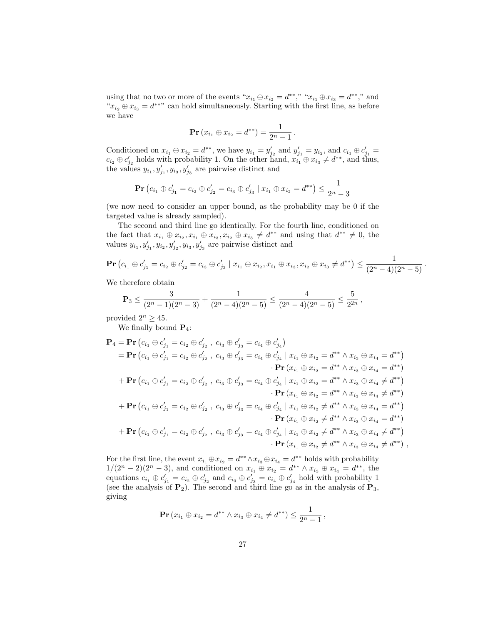using that no two or more of the events " $x_{i_1} \oplus x_{i_2} = d^{**}$ ," " $x_{i_1} \oplus x_{i_3} = d^{**}$ ," and " $x_{i_2} \oplus x_{i_3} = d^{**}$ " can hold simultaneously. Starting with the first line, as before we have

$$
\mathbf{Pr}(x_{i_1} \oplus x_{i_2} = d^{**}) = \frac{1}{2^n - 1}.
$$

Conditioned on  $x_{i_1} \oplus x_{i_2} = d^{**}$ , we have  $y_{i_1} = y'_{j_2}$  and  $y'_{j_1} = y_{i_2}$ , and  $c_{i_1} \oplus c'_{j_1} =$  $c_{i_2} \oplus c'_{j_2}$  holds with probability 1. On the other hand,  $x_{i_1} \oplus x_{i_3} \neq d^{**}$ , and thus, the values  $y_{i_1}, y'_{j_1}, y_{i_3}, y'_{j_3}$  are pairwise distinct and

$$
\mathbf{Pr}\left(c_{i_1} \oplus c'_{j_1} = c_{i_2} \oplus c'_{j_2} = c_{i_3} \oplus c'_{j_3} \mid x_{i_1} \oplus x_{i_2} = d^{**}\right) \le \frac{1}{2^n - 3}
$$

(we now need to consider an upper bound, as the probability may be 0 if the targeted value is already sampled).

The second and third line go identically. For the fourth line, conditioned on the fact that  $x_{i_1} \oplus x_{i_2}, x_{i_1} \oplus x_{i_3}, x_{i_2} \oplus x_{i_3} \neq d^{**}$  and using that  $d^{**} \neq 0$ , the values  $y_{i_1}, y'_{j_1}, y_{i_2}, y'_{j_2}, y_{i_3}, y'_{j_3}$  are pairwise distinct and

$$
\mathbf{Pr}\left(c_{i_1} \oplus c'_{j_1} = c_{i_2} \oplus c'_{j_2} = c_{i_3} \oplus c'_{j_3} \mid x_{i_1} \oplus x_{i_2}, x_{i_1} \oplus x_{i_3}, x_{i_2} \oplus x_{i_3} \neq d^{**}\right) \leq \frac{1}{(2^n-4)(2^n-5)}.
$$

We therefore obtain

$$
\mathbf{P}_3 \le \frac{3}{(2^n-1)(2^n-3)} + \frac{1}{(2^n-4)(2^n-5)} \le \frac{4}{(2^n-4)(2^n-5)} \le \frac{5}{2^{2n}},
$$

provided  $2^n \geq 45$ .

We finally bound  $P_4$ :

$$
\mathbf{P}_{4} = \mathbf{P}\mathbf{r} (c_{i_{1}} \oplus c'_{j_{1}} = c_{i_{2}} \oplus c'_{j_{2}}, c_{i_{3}} \oplus c'_{j_{3}} = c_{i_{4}} \oplus c'_{j_{4}})
$$
\n
$$
= \mathbf{P}\mathbf{r} (c_{i_{1}} \oplus c'_{j_{1}} = c_{i_{2}} \oplus c'_{j_{2}}, c_{i_{3}} \oplus c'_{j_{3}} = c_{i_{4}} \oplus c'_{j_{4}} | x_{i_{1}} \oplus x_{i_{2}} = d^{**} \wedge x_{i_{3}} \oplus x_{i_{4}} = d^{**})
$$
\n
$$
\cdot \mathbf{P}\mathbf{r} (x_{i_{1}} \oplus x_{i_{2}} = d^{**} \wedge x_{i_{3}} \oplus x_{i_{4}} = d^{**})
$$
\n
$$
+ \mathbf{P}\mathbf{r} (c_{i_{1}} \oplus c'_{j_{1}} = c_{i_{2}} \oplus c'_{j_{2}}, c_{i_{3}} \oplus c'_{j_{3}} = c_{i_{4}} \oplus c'_{j_{4}} | x_{i_{1}} \oplus x_{i_{2}} = d^{**} \wedge x_{i_{3}} \oplus x_{i_{4}} \neq d^{**})
$$
\n
$$
\cdot \mathbf{P}\mathbf{r} (x_{i_{1}} \oplus x_{i_{2}} = d^{**} \wedge x_{i_{3}} \oplus x_{i_{4}} \neq d^{**})
$$
\n
$$
+ \mathbf{P}\mathbf{r} (c_{i_{1}} \oplus c'_{j_{1}} = c_{i_{2}} \oplus c'_{j_{2}}, c_{i_{3}} \oplus c'_{j_{3}} = c_{i_{4}} \oplus c'_{j_{4}} | x_{i_{1}} \oplus x_{i_{2}} \neq d^{**} \wedge x_{i_{3}} \oplus x_{i_{4}} = d^{**})
$$
\n
$$
\cdot \mathbf{P}\mathbf{r} (x_{i_{1}} \oplus x_{i_{2}} \neq d^{**} \wedge x_{i_{3}} \oplus x_{i_{4}} = d^{**})
$$
\n
$$
+ \mathbf{P}\mathbf{r} (c_{i_{1}} \oplus c'_{j_{1}} = c_{i_{2}} \oplus c'_{j_{2}}, c_{i_{3}} \oplus c'_{
$$

For the first line, the event  $x_{i_1} \oplus x_{i_2} = d^{**} \wedge x_{i_3} \oplus x_{i_4} = d^{**}$  holds with probability  $1/(2^{n}-2)(2^{n}-3)$ , and conditioned on  $x_{i_1} \oplus x_{i_2} = d^{**} \wedge x_{i_3} \oplus x_{i_4} = d^{**}$ , the equations  $c_{i_1} \oplus c'_{j_1} = c_{i_2} \oplus c'_{j_2}$  and  $c_{i_3} \oplus c'_{j_3} = c_{i_4} \oplus c'_{j_4}$  hold with probability 1 (see the analysis of  $P_2$ ). The second and third line go as in the analysis of  $P_3$ , giving

$$
\mathbf{Pr}\left(x_{i_1} \oplus x_{i_2} = d^{**} \wedge x_{i_3} \oplus x_{i_4} \neq d^{**}\right) \leq \frac{1}{2^n - 1},
$$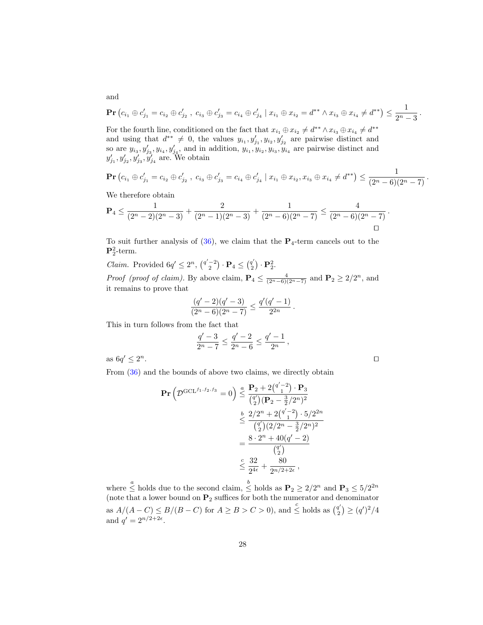$$
\mathbf{Pr}\left(c_{i_1} \oplus c'_{j_1} = c_{i_2} \oplus c'_{j_2}, \ c_{i_3} \oplus c'_{j_3} = c_{i_4} \oplus c'_{j_4} \mid x_{i_1} \oplus x_{i_2} = d^{**} \wedge x_{i_3} \oplus x_{i_4} \neq d^{**}\right) \leq \frac{1}{2^n-3}.
$$

For the fourth line, conditioned on the fact that  $x_{i_1} \oplus x_{i_2} \neq d^{**} \wedge x_{i_3} \oplus x_{i_4} \neq d^{**}$ and using that  $d^{**} \neq 0$ , the values  $y_{i_1}, y'_{j_1}, y'_{i_2}, y'_{j_2}$  are pairwise distinct and so are  $y_{i_3}, y'_{j_3}, y_{i_4}, y'_{j_4}$ , and in addition,  $y_{i_1}, y'_{i_2}, y_{i_3}, y'_{i_4}$  are pairwise distinct and  $y'_{j_1}, y'_{j_2}, y'_{j_3}, y'_{j_4}$  are. We obtain

$$
\mathbf{Pr}\left(c_{i_1} \oplus c'_{j_1} = c_{i_2} \oplus c'_{j_2}, \ c_{i_3} \oplus c'_{j_3} = c_{i_4} \oplus c'_{j_4} \mid x_{i_1} \oplus x_{i_2}, x_{i_3} \oplus x_{i_4} \neq d^{**}\right) \leq \frac{1}{(2^n - 6)(2^n - 7)}.
$$

We therefore obtain

$$
\mathbf{P}_4 \le \frac{1}{(2^n-2)(2^n-3)} + \frac{2}{(2^n-1)(2^n-3)} + \frac{1}{(2^n-6)(2^n-7)} \le \frac{4}{(2^n-6)(2^n-7)}.
$$

To suit further analysis of  $(36)$ , we claim that the  $P_4$ -term cancels out to the  ${\bf P}_2^2$ -term.

*Claim.* Provided  $6q' \leq 2^n$ ,  $\binom{q'-2}{2} \cdot \mathbf{P}_4 \leq \binom{q'}{2}$  $\binom{q'}{2}\cdot {\bf P}^2_2.$ *Proof (proof of claim)*. By above claim,  $\mathbf{P}_4 \leq \frac{4}{(2^n-6)(2^n-7)}$  and  $\mathbf{P}_2 \geq 2/2^n$ , and it remains to prove that

$$
\frac{(q'-2)(q'-3)}{(2^n-6)(2^n-7)} \le \frac{q'(q'-1)}{2^{2n}}.
$$

This in turn follows from the fact that

$$
\frac{q'-3}{2^n-7}\leq \frac{q'-2}{2^n-6}\leq \frac{q'-1}{2^n}\,,
$$

as  $6q' \leq 2$  $n$ .

From [\(36\)](#page-24-0) and the bounds of above two claims, we directly obtain

$$
\begin{split} \mathbf{Pr}\left(\mathcal{D}^{\text{GCL}^{f_1, f_2, f_3}} = 0\right) &\leq \frac{\mathbf{P}_2 + 2\binom{q' - 2}{1} \cdot \mathbf{P}_3}{\binom{q'}{2} (\mathbf{P}_2 - \frac{3}{2}/2^n)^2} \\ &\leq \frac{2/2^n + 2\binom{q' - 2}{1} \cdot 5/2^{2n}}{\binom{q'}{2}(2/2^n - \frac{3}{2}/2^n)^2} \\ &= \frac{8 \cdot 2^n + 40(q' - 2)}{\binom{q'}{2}} \\ &\leq \frac{32}{2^{4\epsilon}} + \frac{80}{2^{n/2 + 2\epsilon}} \,, \end{split}
$$

where  $\leq$  holds due to the second claim,  $\leq$  holds as  $\mathbf{P}_2 \geq 2/2^n$  and  $\mathbf{P}_3 \leq 5/2^{2n}$ (note that a lower bound on  $P_2$  suffices for both the numerator and denominator as  $A/(A-C) \leq B/(B-C)$  for  $A \geq B > C > 0$ , and  $\leq^c$  holds as  $\binom{q}{2}$  $\binom{q'}{2} \geq (q')^2/4$ and  $q' = 2^{n/2+2\epsilon}$ .

and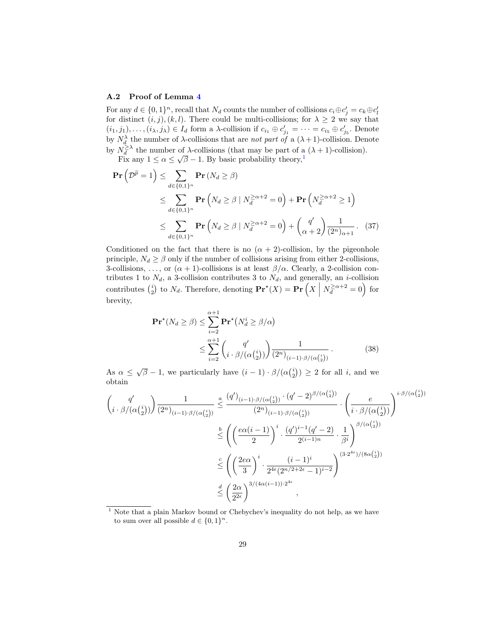### <span id="page-28-0"></span>A.2 Proof of Lemma [4](#page-22-12)

For any  $d \in \{0,1\}^n$ , recall that  $N_d$  counts the number of collisions  $c_i \oplus c'_j = c_k \oplus c'_l$ for distinct  $(i, j)$ ,  $(k, l)$ . There could be multi-collisions; for  $\lambda \geq 2$  we say that  $(i_1, j_1), \ldots, (i_\lambda, j_\lambda) \in I_d$  form a  $\lambda$ -collision if  $c_{i_1} \oplus c'_{j_1} = \cdots = c_{i_5} \oplus c'_{j_5}$ . Denote by  $N_d^{\lambda}$  the number of  $\lambda$ -collisions that are *not part of* a  $(\lambda + 1)$ -collision. Denote by  $N_d^{\geq \lambda}$  the number of  $\lambda$ -collisions (that may be part of a  $(\lambda + 1)$ -collision).  $\int v \overline{d}$  the number of  $\lambda$ -considers (that may be part of a<br>Fix any  $1 \le \alpha \le \sqrt{\beta} - 1$  $1 \le \alpha \le \sqrt{\beta} - 1$ . By basic probability theory,<sup>1</sup>

$$
\mathbf{Pr}\left(\mathcal{D}^{\widetilde{p}}=1\right) \leq \sum_{d \in \{0,1\}^n} \mathbf{Pr}\left(N_d \geq \beta\right)
$$
  
\$\leq \sum\_{d \in \{0,1\}^n} \mathbf{Pr}\left(N\_d \geq \beta \mid N\_d^{\geq \alpha+2}=0\right) + \mathbf{Pr}\left(N\_d^{\geq \alpha+2} \geq 1\right)\$  
\$\leq \sum\_{d \in \{0,1\}^n} \mathbf{Pr}\left(N\_d \geq \beta \mid N\_d^{\geq \alpha+2}=0\right) + \binom{q'}{\alpha+2} \frac{1}{(2^n)\_{\alpha+1}}. (37)\$

Conditioned on the fact that there is no  $(\alpha + 2)$ -collision, by the pigeonhole principle,  $N_d \ge \beta$  only if the number of collisions arising from either 2-collisions, 3-collisions, ..., or  $(\alpha + 1)$ -collisions is at least  $\beta/\alpha$ . Clearly, a 2-collision contributes 1 to  $N_d$ , a 3-collision contributes 3 to  $N_d$ , and generally, an *i*-collision contributes  $\binom{i}{2}$  to  $N_d$ . Therefore, denoting  $\mathbf{Pr}^{\star}(X) = \mathbf{Pr}\left(X \mid N_d^{\geq \alpha+2} = 0\right)$  for brevity,

<span id="page-28-3"></span><span id="page-28-2"></span>
$$
\mathbf{Pr}^{\star}(N_d \ge \beta) \le \sum_{i=2}^{\alpha+1} \mathbf{Pr}^{\star}(N_d^i \ge \beta/\alpha)
$$
  
 
$$
\le \sum_{i=2}^{\alpha+1} {q' \choose i \cdot \beta/(\alpha {i \choose 2})} \frac{1}{(2^n)_{(i-1)\cdot \beta/(\alpha {i \choose 2})}}.
$$
 (38)

As  $\alpha \leq \sqrt{\beta} - 1$ , we particularly have  $(i - 1) \cdot \beta/(\alpha {i \choose 2}) \geq 2$  for all i, and we obtain

$$
\begin{split}\n&\left(\frac{q'}{i\cdot\beta/(\alpha\binom{i}{2})}\right)\frac{1}{(2^n)_{(i-1)\cdot\beta/(\alpha\binom{i}{2})}} &\leq \frac{(q')_{(i-1)\cdot\beta/(\alpha\binom{i}{2})}\cdot (q'-2)^{\beta/(\alpha\binom{i}{2})}}{(2^n)_{(i-1)\cdot\beta/(\alpha\binom{i}{2})}}\cdot \left(\frac{e}{i\cdot\beta/(\alpha\binom{i}{2})}\right)^{i\cdot\beta/(\alpha\binom{i}{2})} \\ &\leq \left(\left(\frac{e\alpha(i-1)}{2}\right)^i\cdot \frac{(q')^{i-1}(q'-2)}{2^{(i-1)n}}\cdot \frac{1}{\beta^i}\right)^{\beta/(\alpha\binom{i}{2})} \\ &\leq \left(\left(\frac{2e\alpha}{3}\right)^i\cdot \frac{(i-1)^i}{2^{4\epsilon}(2^{n/2+2\epsilon}-1)^{i-2}}\right)^{(3\cdot2^{4\epsilon})/(8\alpha\binom{i}{2})} \\ &\leq \left(\frac{2\alpha}{2^{2\epsilon}}\right)^{3/(4\alpha(i-1))\cdot2^{4\epsilon}},\n\end{split}
$$

<span id="page-28-1"></span> $1$  Note that a plain Markov bound or Chebychev's inequality do not help, as we have to sum over all possible  $d \in \{0,1\}^n$ .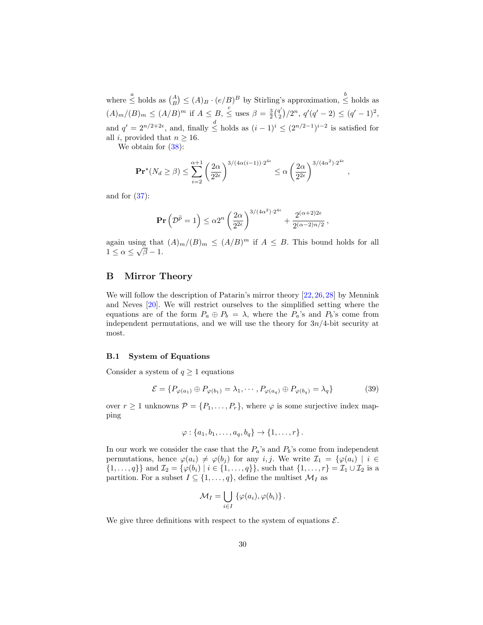where  $\stackrel{a}{\le}$  holds as  $\binom{A}{B} \le (A)_B \cdot (e/B)^B$  by Stirling's approximation,  $\stackrel{b}{\le}$  holds as  $(A)_m/(B)_m \leq (A/B)^m$  if  $A \leq B$ ,  $\leq$  uses  $\beta = \frac{3}{2} {q'_2 \choose 2}$  $q'\choose 2$ ,  $q'(q'-2) \leq (q'-1)^2$ , and  $q' = 2^{n/2+2\epsilon}$ , and, finally  $\leq$  holds as  $(i-1)^i \leq (2^{n/2-1})^{i-2}$  is satisfied for all i, provided that  $n \geq 16$ .

We obtain for  $(38)$ :

$$
\mathbf{Pr}^{\star}(N_d \geq \beta) \leq \sum_{i=2}^{\alpha+1} \left(\frac{2\alpha}{2^{2\epsilon}}\right)^{3/(4\alpha(i-1))\cdot 2^{4\epsilon}} \leq \alpha \left(\frac{2\alpha}{2^{2\epsilon}}\right)^{3/(4\alpha^2)\cdot 2^{4\epsilon}}
$$

,

and for  $(37)$ :

$$
\mathbf{Pr}\left(\mathcal{D}^{\widetilde{p}}=1\right) \leq \alpha 2^{n} \left(\frac{2\alpha}{2^{2\epsilon}}\right)^{3/(4\alpha^{2})\cdot 2^{4\epsilon}} + \frac{2^{(\alpha+2)2\epsilon}}{2^{(\alpha-2)n/2}},
$$

again using that  $(A)_m/(B)_m \leq (A/B)^m$  if  $A \leq B$ . This bound holds for all  $1 \leq \alpha \leq \sqrt{\beta} - 1.$ 

# <span id="page-29-0"></span>B Mirror Theory

We will follow the description of Patarin's mirror theory [\[22,](#page-21-9) [26,](#page-22-4) [28\]](#page-22-5) by Mennink and Neves [\[20\]](#page-21-8). We will restrict ourselves to the simplified setting where the equations are of the form  $P_a \oplus P_b = \lambda$ , where the  $P_a$ 's and  $P_b$ 's come from independent permutations, and we will use the theory for  $3n/4$ -bit security at most.

## B.1 System of Equations

Consider a system of  $q \ge 1$  equations

$$
\mathcal{E} = \{ P_{\varphi(a_1)} \oplus P_{\varphi(b_1)} = \lambda_1, \cdots, P_{\varphi(a_q)} \oplus P_{\varphi(b_q)} = \lambda_q \}
$$
(39)

over  $r \ge 1$  unknowns  $\mathcal{P} = \{P_1, \ldots, P_r\}$ , where  $\varphi$  is some surjective index mapping

$$
\varphi: \{a_1, b_1, \ldots, a_q, b_q\} \to \{1, \ldots, r\}.
$$

In our work we consider the case that the  $P_a$ 's and  $P_b$ 's come from independent permutations, hence  $\varphi(a_i) \neq \varphi(b_j)$  for any i, j. We write  $\mathcal{I}_1 = {\varphi(a_i) \mid i \in \mathcal{I}}$  $\{1, \ldots, q\}\}\$  and  $\mathcal{I}_2 = \{\varphi(b_i) \mid i \in \{1, \ldots, q\}\}\$ , such that  $\{1, \ldots, r\} = \mathcal{I}_1 \cup \mathcal{I}_2$  is a partition. For a subset  $I \subseteq \{1, \ldots, q\}$ , define the multiset  $\mathcal{M}_I$  as

$$
\mathcal{M}_I = \bigcup_{i \in I} \left\{ \varphi(a_i), \varphi(b_i) \right\}.
$$

We give three definitions with respect to the system of equations  $\mathcal{E}$ .